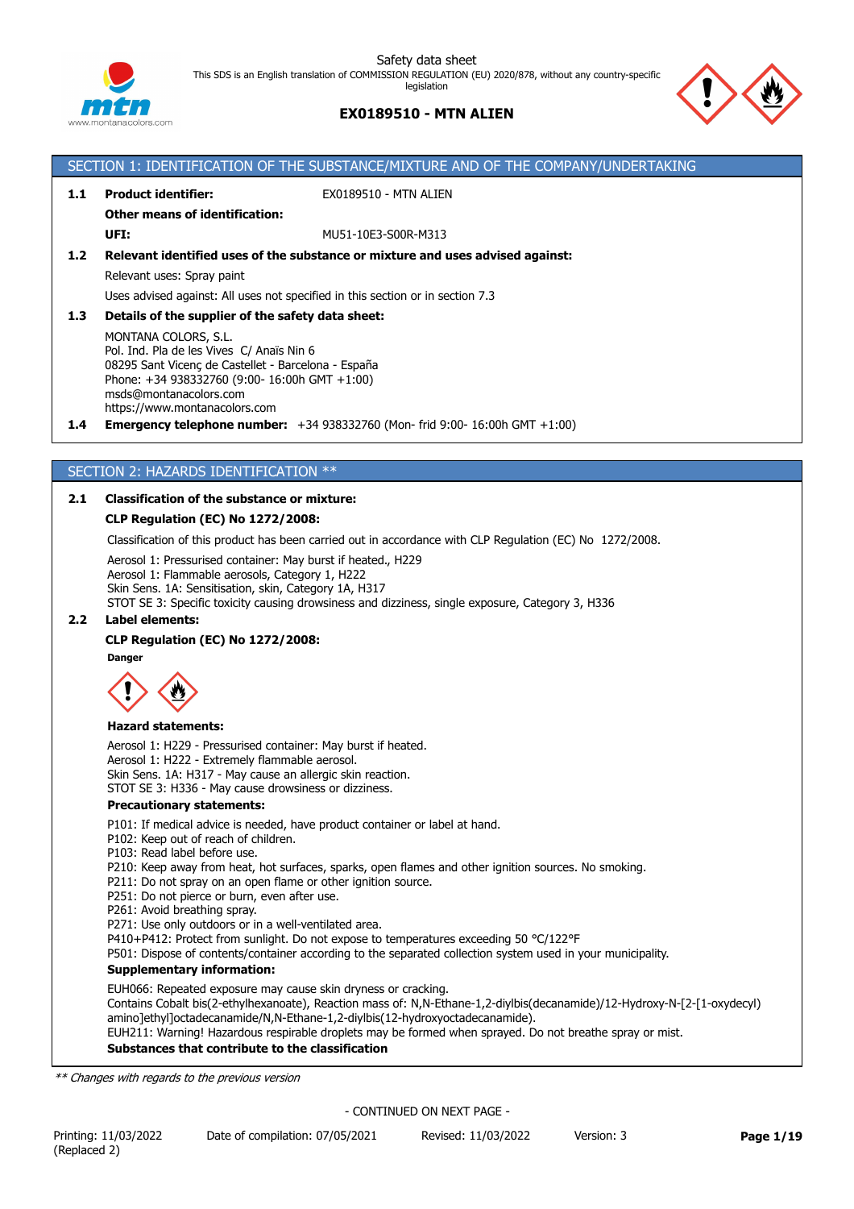

## **EX0189510 - MTN ALIEN**



## SECTION 1: IDENTIFICATION OF THE SUBSTANCE/MIXTURE AND OF THE COMPANY/UNDERTAKING **1.1 Product identifier:** EX0189510 - MTN ALIEN **Other means of identification: UFI:** MU51-10E3-S00R-M313 **1.2 Relevant identified uses of the substance or mixture and uses advised against:** Relevant uses: Spray paint Uses advised against: All uses not specified in this section or in section 7.3 **1.3 Details of the supplier of the safety data sheet:** MONTANA COLORS, S.L. Pol. Ind. Pla de les Vives C/ Anaïs Nin 6 08295 Sant Vicenç de Castellet - Barcelona - España Phone: +34 938332760 (9:00- 16:00h GMT +1:00) msds@montanacolors.com https://www.montanacolors.com **1.4 Emergency telephone number:** +34 938332760 (Mon- frid 9:00- 16:00h GMT +1:00)

## SECTION 2: HAZARDS IDENTIFICATION \*\*

## **2.1 Classification of the substance or mixture:**

## **CLP Regulation (EC) No 1272/2008:**

Classification of this product has been carried out in accordance with CLP Regulation (EC) No 1272/2008.

Aerosol 1: Pressurised container: May burst if heated., H229

Aerosol 1: Flammable aerosols, Category 1, H222 Skin Sens. 1A: Sensitisation, skin, Category 1A, H317

STOT SE 3: Specific toxicity causing drowsiness and dizziness, single exposure, Category 3, H336

## **2.2 Label elements:**

## **CLP Regulation (EC) No 1272/2008:**

Dange



#### **Hazard statements:**

Aerosol 1: H229 - Pressurised container: May burst if heated. Aerosol 1: H222 - Extremely flammable aerosol. Skin Sens. 1A: H317 - May cause an allergic skin reaction. STOT SE 3: H336 - May cause drowsiness or dizziness.

#### **Precautionary statements:**

P101: If medical advice is needed, have product container or label at hand.

- P102: Keep out of reach of children.
- P103: Read label before use.

P210: Keep away from heat, hot surfaces, sparks, open flames and other ignition sources. No smoking.

- P211: Do not spray on an open flame or other ignition source.
- P251: Do not pierce or burn, even after use.

P261: Avoid breathing spray.

P271: Use only outdoors or in a well-ventilated area.

P410+P412: Protect from sunlight. Do not expose to temperatures exceeding 50 °C/122°F

P501: Dispose of contents/container according to the separated collection system used in your municipality.

#### **Supplementary information:**

EUH066: Repeated exposure may cause skin dryness or cracking.

Contains Cobalt bis(2-ethylhexanoate), Reaction mass of: N,N-Ethane-1,2-diylbis(decanamide)/12-Hydroxy-N-[2-[1-oxydecyl) amino]ethyl]octadecanamide/N,N-Ethane-1,2-diylbis(12-hydroxyoctadecanamide).

EUH211: Warning! Hazardous respirable droplets may be formed when sprayed. Do not breathe spray or mist.

## **Substances that contribute to the classification**

*\*\* Changes with regards to the previous version*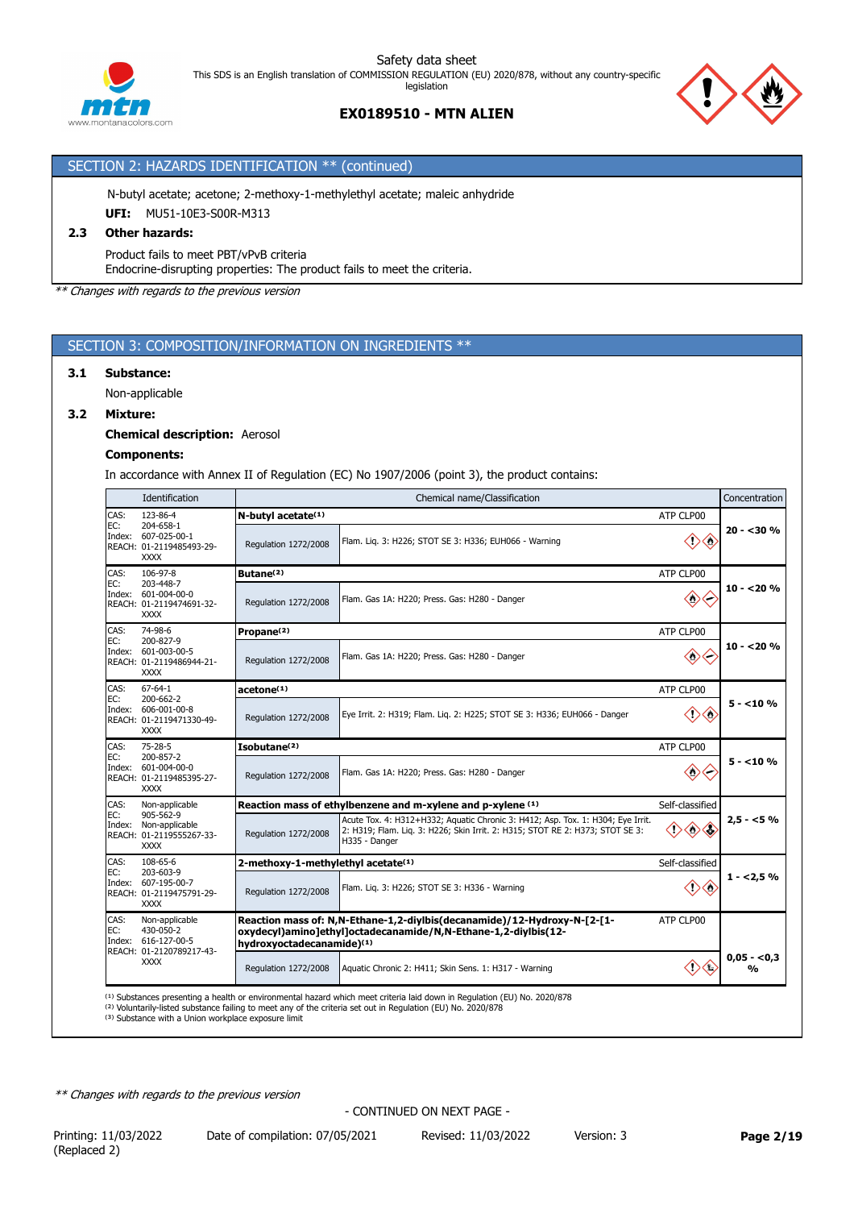



## SECTION 2: HAZARDS IDENTIFICATION \*\* (continued)

N-butyl acetate; acetone; 2-methoxy-1-methylethyl acetate; maleic anhydride

**UFI:** MU51-10E3-S00R-M313

## **2.3 Other hazards:**

Product fails to meet PBT/vPvB criteria

Endocrine-disrupting properties: The product fails to meet the criteria.

*\*\* Changes with regards to the previous version*

## SECTION 3: COMPOSITION/INFORMATION ON INGREDIENTS \*\*

#### **3.1 Substance:**

Non-applicable

## **3.2 Mixture:**

**Chemical description:** Aerosol

#### **Components:**

In accordance with Annex II of Regulation (EC) No 1907/2006 (point 3), the product contains:

|                       | Identification                                                              | Concentration<br>Chemical name/Classification  |                                                                                                                                                                                   |                               |                               |  |  |
|-----------------------|-----------------------------------------------------------------------------|------------------------------------------------|-----------------------------------------------------------------------------------------------------------------------------------------------------------------------------------|-------------------------------|-------------------------------|--|--|
| CAS:                  | 123-86-4                                                                    | N-butyl acetate(1)<br>ATP CLP00                |                                                                                                                                                                                   |                               |                               |  |  |
| EC:                   | 204-658-1<br>Index: 607-025-00-1<br>REACH: 01-2119485493-29-<br><b>XXXX</b> | Regulation 1272/2008                           | Flam. Liq. 3: H226; STOT SE 3: H336; EUH066 - Warning                                                                                                                             |                               | $20 - 30%$                    |  |  |
| CAS:                  | 106-97-8                                                                    | Butane <sup>(2)</sup>                          |                                                                                                                                                                                   | ATP CLP00                     |                               |  |  |
| EC:<br>Index:         | 203-448-7<br>601-004-00-0<br>REACH: 01-2119474691-32-<br><b>XXXX</b>        | Regulation 1272/2008                           | Flam. Gas 1A: H220; Press. Gas: H280 - Danger                                                                                                                                     | $\diamondsuit$                | $10 - 20%$                    |  |  |
| CAS:                  | 74-98-6                                                                     | Propane <sup>(2)</sup>                         |                                                                                                                                                                                   | ATP CLP00                     |                               |  |  |
| EC:                   | 200-827-9<br>Index: 601-003-00-5<br>REACH: 01-2119486944-21-<br><b>XXXX</b> | Regulation 1272/2008                           | Flam. Gas 1A: H220; Press. Gas: H280 - Danger                                                                                                                                     | $\langle$ $\rangle$           | $10 - 20%$                    |  |  |
| CAS:                  | $67 - 64 - 1$                                                               | acetone <sup>(1)</sup>                         |                                                                                                                                                                                   | ATP CLP00                     |                               |  |  |
| EC:<br>Index:         | 200-662-2<br>606-001-00-8<br>REACH: 01-2119471330-49-<br><b>XXXX</b>        | Regulation 1272/2008                           | Eye Irrit. 2: H319; Flam. Lig. 2: H225; STOT SE 3: H336; EUH066 - Danger                                                                                                          | O)<br><⊵                      | $5 - 10%$                     |  |  |
| CAS:                  | 75-28-5                                                                     | Isobutane <sup>(2)</sup>                       |                                                                                                                                                                                   | ATP CLP00                     |                               |  |  |
| EC:<br>Index:         | 200-857-2<br>601-004-00-0<br>REACH: 01-2119485395-27-<br><b>XXXX</b>        | Regulation 1272/2008                           | Flam. Gas 1A: H220; Press. Gas: H280 - Danger                                                                                                                                     | $\langle \rangle$             | $5 - 10%$                     |  |  |
| CAS:                  | Non-applicable                                                              |                                                | Reaction mass of ethylbenzene and m-xylene and p-xylene (1)                                                                                                                       | Self-classified               |                               |  |  |
| EC:<br>Index:         | 905-562-9<br>Non-applicable<br>REACH: 01-2119555267-33-<br><b>XXXX</b>      | Regulation 1272/2008                           | Acute Tox. 4: H312+H332; Aquatic Chronic 3: H412; Asp. Tox. 1: H304; Eye Irrit.<br>2: H319; Flam. Lig. 3: H226; Skin Irrit. 2: H315; STOT RE 2: H373; STOT SE 3:<br>H335 - Danger | $\langle \cdot \rangle$       | $2,5 - 5%$                    |  |  |
| CAS:<br>EC:           | 108-65-6                                                                    | 2-methoxy-1-methylethyl acetate <sup>(1)</sup> |                                                                                                                                                                                   | Self-classified               |                               |  |  |
| Index:                | 203-603-9<br>607-195-00-7<br>REACH: 01-2119475791-29-<br><b>XXXX</b>        | Regulation 1272/2008                           | Flam. Lig. 3: H226; STOT SE 3: H336 - Warning                                                                                                                                     | $\langle \cdot \rangle$<br><⊵ | $1 - 2,5%$                    |  |  |
| CAS:<br>EC:<br>Index: | Non-applicable<br>430-050-2<br>616-127-00-5<br>REACH: 01-2120789217-43-     | hydroxyoctadecanamide)(1)                      | Reaction mass of: N,N-Ethane-1,2-diylbis(decanamide)/12-Hydroxy-N-[2-[1-<br>oxydecyl)amino]ethyl]octadecanamide/N,N-Ethane-1,2-diylbis(12-                                        | ATP CLP00                     |                               |  |  |
|                       | <b>XXXX</b>                                                                 | Regulation 1272/2008                           | Aquatic Chronic 2: H411; Skin Sens. 1: H317 - Warning                                                                                                                             |                               | $0,05 - 0,3$<br>$\frac{0}{0}$ |  |  |
|                       |                                                                             |                                                | <sup>(1)</sup> Substances presenting a health or environmental hazard which meet criteria laid down in Regulation (EU) No. 2020/878                                               |                               |                               |  |  |

<sup>(1)</sup> Substances presenting a health or environmental hazard which meet criteria laid down in Regulation (EU) No. 2020/878<br><sup>(2)</sup> Voluntarily-listed substance failing to meet any of the criteria set out in Regulation (EU) N

<sup>(3)</sup> Substance with a Union workplace exposure limit

*\*\* Changes with regards to the previous version*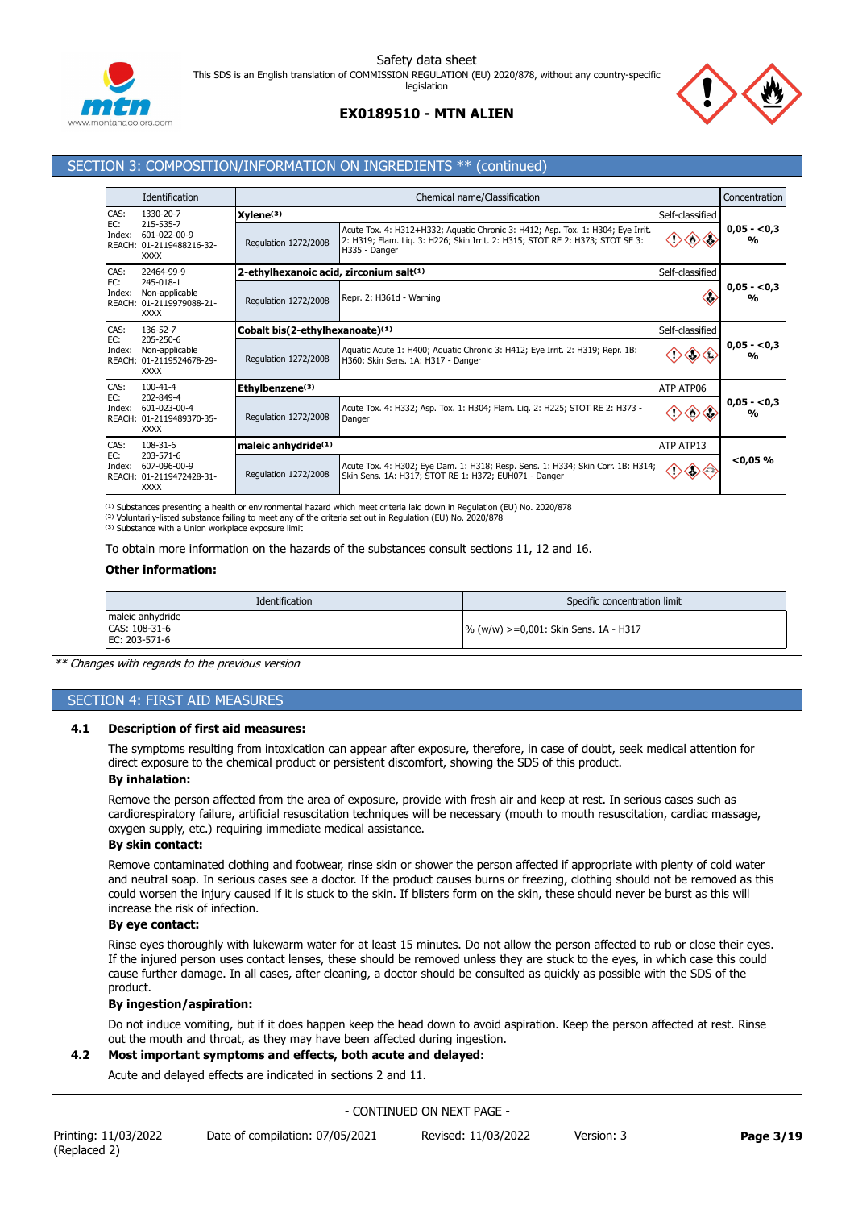





## SECTION 3: COMPOSITION/INFORMATION ON INGREDIENTS \*\* (continued)

|               | Identification                                                                         |                                                    | Chemical name/Classification                                                                                                                                                      |                 | Concentration                             |
|---------------|----------------------------------------------------------------------------------------|----------------------------------------------------|-----------------------------------------------------------------------------------------------------------------------------------------------------------------------------------|-----------------|-------------------------------------------|
| CAS:          | 1330-20-7<br>215-535-7<br>601-022-00-9<br>REACH: 01-2119488216-32-<br><b>XXXX</b>      | $X$ ylene $(3)$                                    |                                                                                                                                                                                   | Self-classified |                                           |
| EC:<br>Index: |                                                                                        | Regulation 1272/2008                               | Acute Tox. 4: H312+H332; Aquatic Chronic 3: H412; Asp. Tox. 1: H304; Eye Irrit.<br>2: H319; Flam. Lig. 3: H226; Skin Irrit. 2: H315; STOT RE 2: H373; STOT SE 3:<br>H335 - Danger |                 | $0,05 - 0,3$<br>$\frac{0}{0}$             |
| CAS:          | 22464-99-9                                                                             | 2-ethylhexanoic acid, zirconium salt(1)            |                                                                                                                                                                                   | Self-classified |                                           |
| EC:<br>Index: | 245-018-1<br>Non-applicable<br>REACH: 01-2119979088-21-<br><b>XXXX</b>                 | Regulation 1272/2008                               | Repr. 2: H361d - Warning                                                                                                                                                          |                 | $0,05 - 0,3$<br>$\mathbf{v}_{\mathbf{0}}$ |
| CAS:          | 136-52-7<br>205-250-6<br>Non-applicable<br>REACH: 01-2119524678-29-<br><b>XXXX</b>     | Cobalt bis(2-ethylhexanoate)(1)<br>Self-classified |                                                                                                                                                                                   |                 |                                           |
| EC:<br>Index: |                                                                                        | Requlation 1272/2008                               | Aquatic Acute 1: H400; Aquatic Chronic 3: H412; Eye Irrit. 2: H319; Repr. 1B:<br>H360; Skin Sens. 1A: H317 - Danger                                                               |                 | $0,05 - 0,3$<br>$\frac{0}{0}$             |
| CAS:          | $100 - 41 - 4$<br>202-849-4<br>601-023-00-4<br>REACH: 01-2119489370-35-<br><b>XXXX</b> | Ethylbenzene <sup>(3)</sup><br>ATP ATP06           |                                                                                                                                                                                   |                 |                                           |
| EC:<br>Index: |                                                                                        | Regulation 1272/2008                               | Acute Tox. 4: H332; Asp. Tox. 1: H304; Flam. Liq. 2: H225; STOT RE 2: H373 -<br>Danger                                                                                            |                 | $0,05 - 0,3$<br>$\frac{0}{0}$             |
| CAS:          | 108-31-6<br>203-571-6<br>607-096-00-9<br>REACH: 01-2119472428-31-<br><b>XXXX</b>       | maleic anhydride <sup>(1)</sup>                    | ATP ATP13                                                                                                                                                                         |                 |                                           |
| EC:<br>Index: |                                                                                        | Regulation 1272/2008                               | Acute Tox. 4: H302; Eye Dam. 1: H318; Resp. Sens. 1: H334; Skin Corr. 1B: H314;<br>Skin Sens. 1A: H317; STOT RE 1: H372; EUH071 - Danger                                          | ◇∈              | $<$ 0,05 $%$                              |

<sup>(1)</sup> Substances presenting a health or environmental hazard which meet criteria laid down in Regulation (EU) No. 2020/878 <sup>(2)</sup> Voluntarily-listed substance failing to meet any of the criteria set out in Regulation (EU) No. 2020/878<br><sup>(3)</sup> Substance with a Union workplace exposure limit

To obtain more information on the hazards of the substances consult sections 11, 12 and 16.

## **Other information:**

| Identification                                     | Specific concentration limit          |  |
|----------------------------------------------------|---------------------------------------|--|
| maleic anhydride<br>CAS: 108-31-6<br>EC: 203-571-6 | % (w/w) >=0,001: Skin Sens. 1A - H317 |  |

*\*\* Changes with regards to the previous version*

## SECTION 4: FIRST AID MEASURES

## **4.1 Description of first aid measures:**

The symptoms resulting from intoxication can appear after exposure, therefore, in case of doubt, seek medical attention for direct exposure to the chemical product or persistent discomfort, showing the SDS of this product.

## **By inhalation:**

Remove the person affected from the area of exposure, provide with fresh air and keep at rest. In serious cases such as cardiorespiratory failure, artificial resuscitation techniques will be necessary (mouth to mouth resuscitation, cardiac massage, oxygen supply, etc.) requiring immediate medical assistance.

#### **By skin contact:**

Remove contaminated clothing and footwear, rinse skin or shower the person affected if appropriate with plenty of cold water and neutral soap. In serious cases see a doctor. If the product causes burns or freezing, clothing should not be removed as this could worsen the injury caused if it is stuck to the skin. If blisters form on the skin, these should never be burst as this will increase the risk of infection.

## **By eye contact:**

Rinse eyes thoroughly with lukewarm water for at least 15 minutes. Do not allow the person affected to rub or close their eyes. If the injured person uses contact lenses, these should be removed unless they are stuck to the eyes, in which case this could cause further damage. In all cases, after cleaning, a doctor should be consulted as quickly as possible with the SDS of the product.

## **By ingestion/aspiration:**

Do not induce vomiting, but if it does happen keep the head down to avoid aspiration. Keep the person affected at rest. Rinse out the mouth and throat, as they may have been affected during ingestion.

## **4.2 Most important symptoms and effects, both acute and delayed:**

Acute and delayed effects are indicated in sections 2 and 11.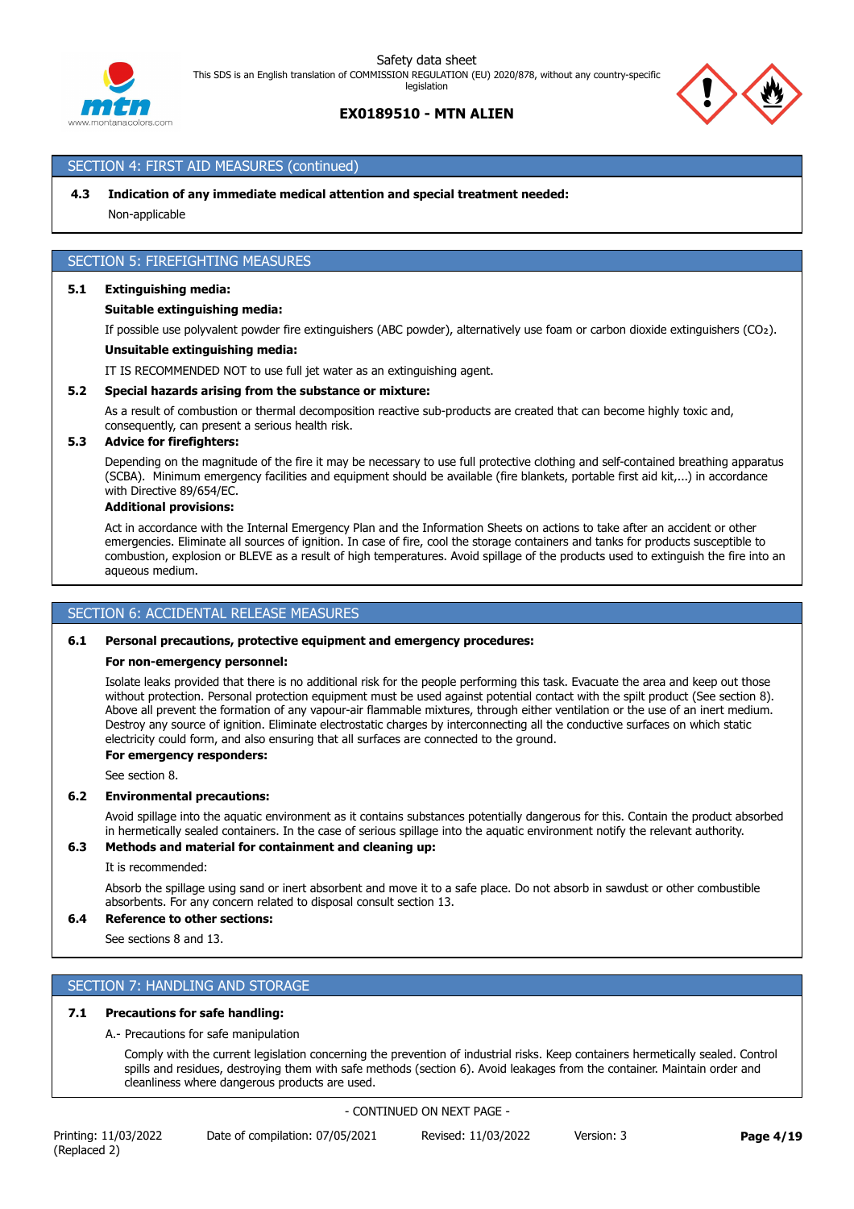## **EX0189510 - MTN ALIEN**

## SECTION 4: FIRST AID MEASURES (continued)

## **4.3 Indication of any immediate medical attention and special treatment needed:**

Non-applicable

## SECTION 5: FIREFIGHTING MEASURES

## **5.1 Extinguishing media:**

## **Suitable extinguishing media:**

If possible use polyvalent powder fire extinguishers (ABC powder), alternatively use foam or carbon dioxide extinguishers (CO₂).

#### **Unsuitable extinguishing media:**

IT IS RECOMMENDED NOT to use full jet water as an extinguishing agent.

## **5.2 Special hazards arising from the substance or mixture:**

As a result of combustion or thermal decomposition reactive sub-products are created that can become highly toxic and, consequently, can present a serious health risk.

## **5.3 Advice for firefighters:**

Depending on the magnitude of the fire it may be necessary to use full protective clothing and self-contained breathing apparatus (SCBA). Minimum emergency facilities and equipment should be available (fire blankets, portable first aid kit,...) in accordance with Directive 89/654/EC.

#### **Additional provisions:**

Act in accordance with the Internal Emergency Plan and the Information Sheets on actions to take after an accident or other emergencies. Eliminate all sources of ignition. In case of fire, cool the storage containers and tanks for products susceptible to combustion, explosion or BLEVE as a result of high temperatures. Avoid spillage of the products used to extinguish the fire into an aqueous medium.

## SECTION 6: ACCIDENTAL RELEASE MEASURES

## **6.1 Personal precautions, protective equipment and emergency procedures:**

#### **For non-emergency personnel:**

Isolate leaks provided that there is no additional risk for the people performing this task. Evacuate the area and keep out those without protection. Personal protection equipment must be used against potential contact with the spilt product (See section 8). Above all prevent the formation of any vapour-air flammable mixtures, through either ventilation or the use of an inert medium. Destroy any source of ignition. Eliminate electrostatic charges by interconnecting all the conductive surfaces on which static electricity could form, and also ensuring that all surfaces are connected to the ground.

## **For emergency responders:**

See section 8.

## **6.2 Environmental precautions:**

Avoid spillage into the aquatic environment as it contains substances potentially dangerous for this. Contain the product absorbed in hermetically sealed containers. In the case of serious spillage into the aquatic environment notify the relevant authority.

## **6.3 Methods and material for containment and cleaning up:**

It is recommended:

Absorb the spillage using sand or inert absorbent and move it to a safe place. Do not absorb in sawdust or other combustible absorbents. For any concern related to disposal consult section 13.

## **6.4 Reference to other sections:**

See sections 8 and 13.

## SECTION 7: HANDLING AND STORAGE

## **7.1 Precautions for safe handling:**

A.- Precautions for safe manipulation

Comply with the current legislation concerning the prevention of industrial risks. Keep containers hermetically sealed. Control spills and residues, destroying them with safe methods (section 6). Avoid leakages from the container. Maintain order and cleanliness where dangerous products are used.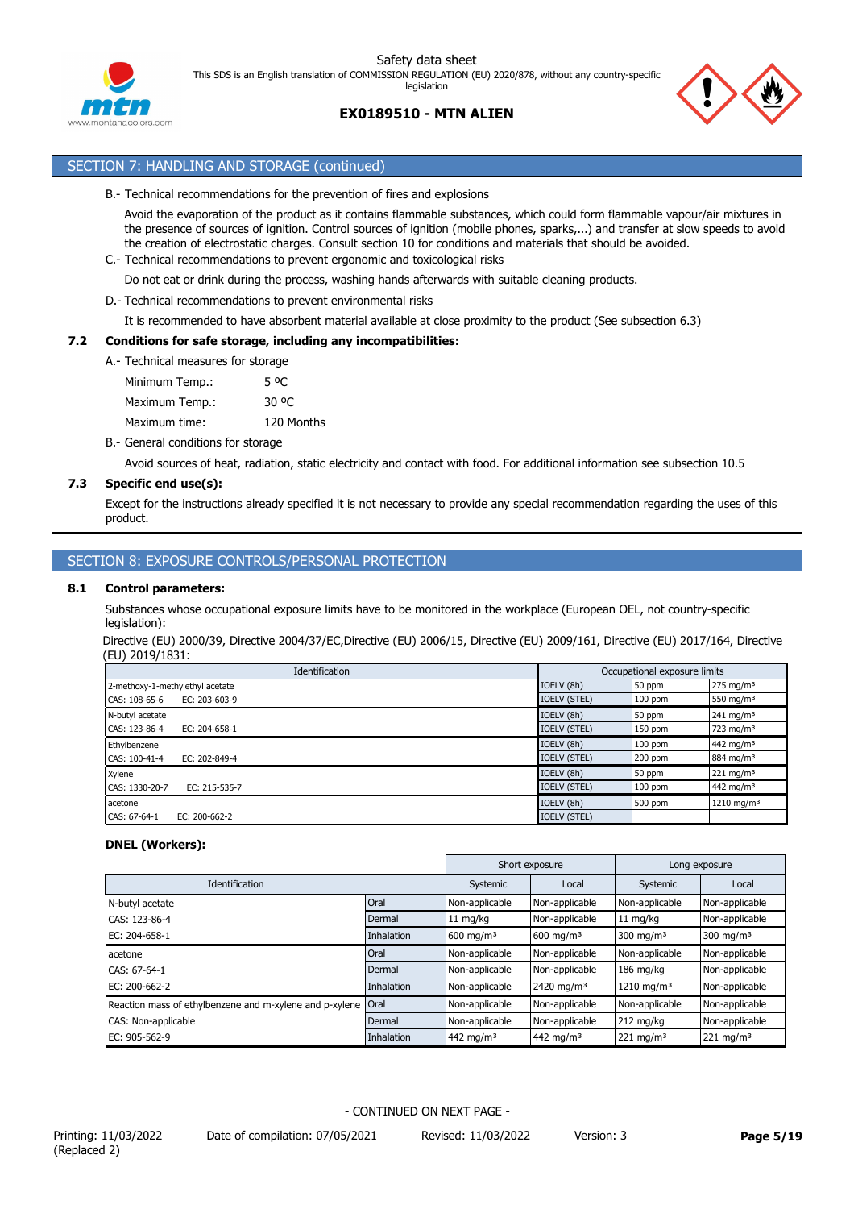



## SECTION 7: HANDLING AND STORAGE (continued)

B.- Technical recommendations for the prevention of fires and explosions

Avoid the evaporation of the product as it contains flammable substances, which could form flammable vapour/air mixtures in the presence of sources of ignition. Control sources of ignition (mobile phones, sparks,...) and transfer at slow speeds to avoid the creation of electrostatic charges. Consult section 10 for conditions and materials that should be avoided.

C.- Technical recommendations to prevent ergonomic and toxicological risks

Do not eat or drink during the process, washing hands afterwards with suitable cleaning products.

D.- Technical recommendations to prevent environmental risks

It is recommended to have absorbent material available at close proximity to the product (See subsection 6.3)

## **7.2 Conditions for safe storage, including any incompatibilities:**

A.- Technical measures for storage

Minimum Temp.: 5 °C Maximum Temp.: 30 °C Maximum time: 120 Months

## B.- General conditions for storage

Avoid sources of heat, radiation, static electricity and contact with food. For additional information see subsection 10.5

## **7.3 Specific end use(s):**

Except for the instructions already specified it is not necessary to provide any special recommendation regarding the uses of this product.

## SECTION 8: EXPOSURE CONTROLS/PERSONAL PROTECTION

## **8.1 Control parameters:**

Substances whose occupational exposure limits have to be monitored in the workplace (European OEL, not country-specific legislation):

Directive (EU) 2000/39, Directive 2004/37/EC,Directive (EU) 2006/15, Directive (EU) 2009/161, Directive (EU) 2017/164, Directive (EU) 2019/1831:

| Identification                       | Occupational exposure limits |           |                        |
|--------------------------------------|------------------------------|-----------|------------------------|
| 2-methoxy-1-methylethyl acetate      | IOELV (8h)                   | 50 ppm    | $275 \text{ mg/m}^3$   |
| EC: $203 - 603 - 9$<br>CAS: 108-65-6 | <b>IOELV (STEL)</b>          | $100$ ppm | 550 mg/m <sup>3</sup>  |
| N-butyl acetate                      | IOELV (8h)                   | 50 ppm    | $241 \text{ mg/m}^3$   |
| CAS: 123-86-4<br>EC: 204-658-1       | <b>IOELV (STEL)</b>          | $150$ ppm | 723 mg/m <sup>3</sup>  |
| Ethylbenzene                         | IOELV (8h)                   | $100$ ppm | 442 mg/m <sup>3</sup>  |
| CAS: 100-41-4<br>EC: 202-849-4       | <b>IOELV (STEL)</b>          | $200$ ppm | 884 mg/m <sup>3</sup>  |
| Xylene                               | IOELV (8h)                   | 50 ppm    | $221 \text{ mg/m}^3$   |
| CAS: 1330-20-7<br>EC: 215-535-7      | <b>IOELV (STEL)</b>          | $100$ ppm | 442 mg/m <sup>3</sup>  |
| acetone                              | IOELV (8h)                   | 500 ppm   | 1210 mg/m <sup>3</sup> |
| CAS: 67-64-1<br>EC: 200-662-2        | <b>IOELV (STEL)</b>          |           |                        |

## **DNEL (Workers):**

|                                                         |            |                       | Short exposure         |                         | Long exposure        |
|---------------------------------------------------------|------------|-----------------------|------------------------|-------------------------|----------------------|
| Identification                                          |            | Systemic              | Local                  | Systemic                | Local                |
| N-butyl acetate                                         | Oral       | Non-applicable        | Non-applicable         | Non-applicable          | Non-applicable       |
| CAS: 123-86-4                                           | Dermal     | $11 \text{ mg/kg}$    | Non-applicable         | $11 \text{ mg/kg}$      | Non-applicable       |
| EC: 204-658-1                                           | Inhalation | $600 \text{ mg/m}^3$  | $600 \; \text{mg/m}^3$ | 300 mg/m <sup>3</sup>   | $300 \text{ mg/m}^3$ |
| acetone                                                 | Oral       | Non-applicable        | Non-applicable         | Non-applicable          | Non-applicable       |
| CAS: 67-64-1                                            | Dermal     | Non-applicable        | Non-applicable         | $186$ mg/kg             | Non-applicable       |
| EC: 200-662-2                                           | Inhalation | Non-applicable        | 2420 mg/m <sup>3</sup> | 1210 mg/m <sup>3</sup>  | Non-applicable       |
| Reaction mass of ethylbenzene and m-xylene and p-xylene | Oral       | Non-applicable        | Non-applicable         | Non-applicable          | Non-applicable       |
| CAS: Non-applicable                                     | Dermal     | Non-applicable        | Non-applicable         | $212$ mg/kg             | Non-applicable       |
| EC: 905-562-9                                           | Inhalation | 442 mg/m <sup>3</sup> | 442 mg/m <sup>3</sup>  | $221$ mg/m <sup>3</sup> | $221 \text{ mg/m}^3$ |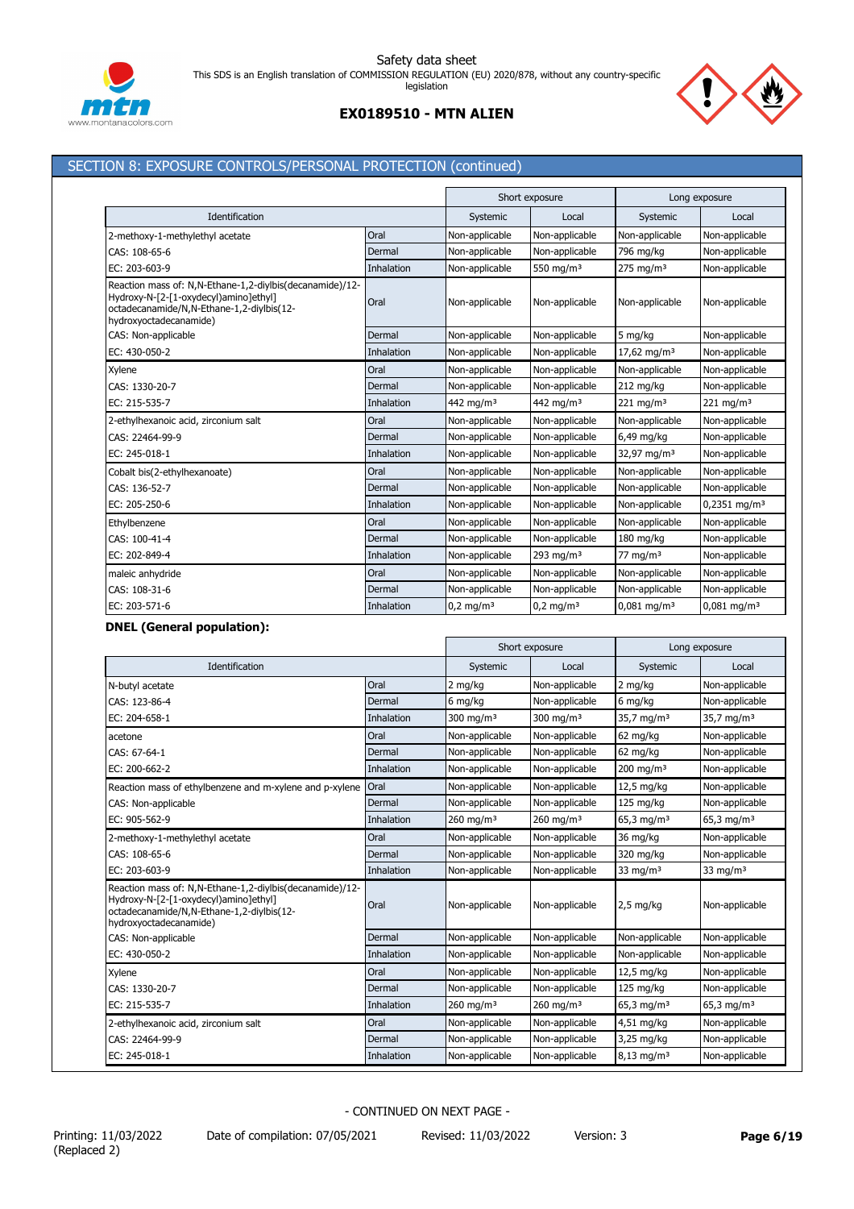

## **EX0189510 - MTN ALIEN**

## SECTION 8: EXPOSURE CONTROLS/PERSONAL PROTECTION (continued)

|                                                                                                                                                                          |            | Short exposure        |                      | Long exposure             |                            |
|--------------------------------------------------------------------------------------------------------------------------------------------------------------------------|------------|-----------------------|----------------------|---------------------------|----------------------------|
| Identification                                                                                                                                                           |            | Systemic              | Local                | Systemic                  | Local                      |
| 2-methoxy-1-methylethyl acetate                                                                                                                                          | Oral       | Non-applicable        | Non-applicable       | Non-applicable            | Non-applicable             |
| CAS: 108-65-6                                                                                                                                                            | Dermal     | Non-applicable        | Non-applicable       | 796 mg/kg                 | Non-applicable             |
| EC: 203-603-9                                                                                                                                                            | Inhalation | Non-applicable        | 550 mg/m $3$         | $275$ mg/m <sup>3</sup>   | Non-applicable             |
| Reaction mass of: N,N-Ethane-1,2-diylbis(decanamide)/12-<br>Hydroxy-N-[2-[1-oxydecyl)amino]ethyl]<br>octadecanamide/N,N-Ethane-1,2-diylbis(12-<br>hydroxyoctadecanamide) | Oral       | Non-applicable        | Non-applicable       | Non-applicable            | Non-applicable             |
| CAS: Non-applicable                                                                                                                                                      | Dermal     | Non-applicable        | Non-applicable       | 5 mg/kg                   | Non-applicable             |
| EC: 430-050-2                                                                                                                                                            | Inhalation | Non-applicable        | Non-applicable       | 17,62 mg/m <sup>3</sup>   | Non-applicable             |
| Xylene                                                                                                                                                                   | Oral       | Non-applicable        | Non-applicable       | Non-applicable            | Non-applicable             |
| CAS: 1330-20-7                                                                                                                                                           | Dermal     | Non-applicable        | Non-applicable       | 212 mg/kg                 | Non-applicable             |
| EC: 215-535-7                                                                                                                                                            | Inhalation | 442 mg/m <sup>3</sup> | 442 ma/m $3$         | $221$ mg/m <sup>3</sup>   | $221 \text{ mg/m}^3$       |
| 2-ethylhexanoic acid, zirconium salt                                                                                                                                     | Oral       | Non-applicable        | Non-applicable       | Non-applicable            | Non-applicable             |
| CAS: 22464-99-9                                                                                                                                                          | Dermal     | Non-applicable        | Non-applicable       | 6,49 mg/kg                | Non-applicable             |
| EC: 245-018-1                                                                                                                                                            | Inhalation | Non-applicable        | Non-applicable       | 32,97 mg/m <sup>3</sup>   | Non-applicable             |
| Cobalt bis(2-ethylhexanoate)                                                                                                                                             | Oral       | Non-applicable        | Non-applicable       | Non-applicable            | Non-applicable             |
| CAS: 136-52-7                                                                                                                                                            | Dermal     | Non-applicable        | Non-applicable       | Non-applicable            | Non-applicable             |
| EC: 205-250-6                                                                                                                                                            | Inhalation | Non-applicable        | Non-applicable       | Non-applicable            | $0,2351$ mg/m <sup>3</sup> |
| Ethylbenzene                                                                                                                                                             | Oral       | Non-applicable        | Non-applicable       | Non-applicable            | Non-applicable             |
| CAS: 100-41-4                                                                                                                                                            | Dermal     | Non-applicable        | Non-applicable       | 180 mg/kg                 | Non-applicable             |
| EC: 202-849-4                                                                                                                                                            | Inhalation | Non-applicable        | 293 mg/m $3$         | $77 \text{ mg/m}^3$       | Non-applicable             |
| maleic anhydride                                                                                                                                                         | Oral       | Non-applicable        | Non-applicable       | Non-applicable            | Non-applicable             |
| CAS: 108-31-6                                                                                                                                                            | Dermal     | Non-applicable        | Non-applicable       | Non-applicable            | Non-applicable             |
| EC: 203-571-6                                                                                                                                                            | Inhalation | $0.2 \text{ mg/m}^3$  | $0.2 \text{ mg/m}^3$ | $0.081$ mg/m <sup>3</sup> | $0.081$ mg/m <sup>3</sup>  |

## **DNEL (General population):**

|                                                                                                                                                                          |                   |                         | Short exposure          |                          | Long exposure            |
|--------------------------------------------------------------------------------------------------------------------------------------------------------------------------|-------------------|-------------------------|-------------------------|--------------------------|--------------------------|
| Identification                                                                                                                                                           |                   | Systemic                | Local                   | Systemic                 | Local                    |
| N-butyl acetate                                                                                                                                                          | Oral              | 2 mg/kg                 | Non-applicable          | 2 mg/kg                  | Non-applicable           |
| CAS: 123-86-4                                                                                                                                                            | Dermal            | 6 mg/kg                 | Non-applicable          | 6 mg/kg                  | Non-applicable           |
| EC: 204-658-1                                                                                                                                                            | Inhalation        | 300 mg/m $3$            | 300 mg/m $3$            | 35,7 mg/m <sup>3</sup>   | $35,7 \text{ mg/m}^3$    |
| acetone                                                                                                                                                                  | Oral              | Non-applicable          | Non-applicable          | 62 mg/kg                 | Non-applicable           |
| CAS: 67-64-1                                                                                                                                                             | Dermal            | Non-applicable          | Non-applicable          | 62 mg/kg                 | Non-applicable           |
| EC: 200-662-2                                                                                                                                                            | Inhalation        | Non-applicable          | Non-applicable          | $200$ mg/m <sup>3</sup>  | Non-applicable           |
| Reaction mass of ethylbenzene and m-xylene and p-xylene                                                                                                                  | Oral              | Non-applicable          | Non-applicable          | 12,5 mg/kg               | Non-applicable           |
| CAS: Non-applicable                                                                                                                                                      | Dermal            | Non-applicable          | Non-applicable          | $125$ mg/kg              | Non-applicable           |
| EC: 905-562-9                                                                                                                                                            | <b>Inhalation</b> | $260$ mg/m <sup>3</sup> | $260$ mg/m <sup>3</sup> | 65,3 mg/m <sup>3</sup>   | $65,3$ mg/m <sup>3</sup> |
| 2-methoxy-1-methylethyl acetate                                                                                                                                          | Oral              | Non-applicable          | Non-applicable          | 36 mg/kg                 | Non-applicable           |
| CAS: 108-65-6                                                                                                                                                            | Dermal            | Non-applicable          | Non-applicable          | 320 mg/kg                | Non-applicable           |
| EC: 203-603-9                                                                                                                                                            | Inhalation        | Non-applicable          | Non-applicable          | 33 mg/m $3$              | 33 mg/m $3$              |
| Reaction mass of: N,N-Ethane-1,2-diylbis(decanamide)/12-<br>Hydroxy-N-[2-[1-oxydecyl)amino]ethyl]<br>octadecanamide/N,N-Ethane-1,2-diylbis(12-<br>hydroxyoctadecanamide) | Oral              | Non-applicable          | Non-applicable          | $2,5$ mg/kg              | Non-applicable           |
| CAS: Non-applicable                                                                                                                                                      | Dermal            | Non-applicable          | Non-applicable          | Non-applicable           | Non-applicable           |
| EC: 430-050-2                                                                                                                                                            | Inhalation        | Non-applicable          | Non-applicable          | Non-applicable           | Non-applicable           |
| Xylene                                                                                                                                                                   | Oral              | Non-applicable          | Non-applicable          | 12,5 mg/kg               | Non-applicable           |
| CAS: 1330-20-7                                                                                                                                                           | Dermal            | Non-applicable          | Non-applicable          | 125 mg/kg                | Non-applicable           |
| EC: 215-535-7                                                                                                                                                            | <b>Inhalation</b> | $260$ mg/m <sup>3</sup> | $260$ mg/m <sup>3</sup> | $65,3$ mg/m <sup>3</sup> | $65,3$ mg/m <sup>3</sup> |
| 2-ethylhexanoic acid, zirconium salt                                                                                                                                     | Oral              | Non-applicable          | Non-applicable          | 4,51 mg/kg               | Non-applicable           |
| CAS: 22464-99-9                                                                                                                                                          | Dermal            | Non-applicable          | Non-applicable          | 3,25 mg/kg               | Non-applicable           |
| EC: 245-018-1                                                                                                                                                            | Inhalation        | Non-applicable          | Non-applicable          | $8,13$ mg/m <sup>3</sup> | Non-applicable           |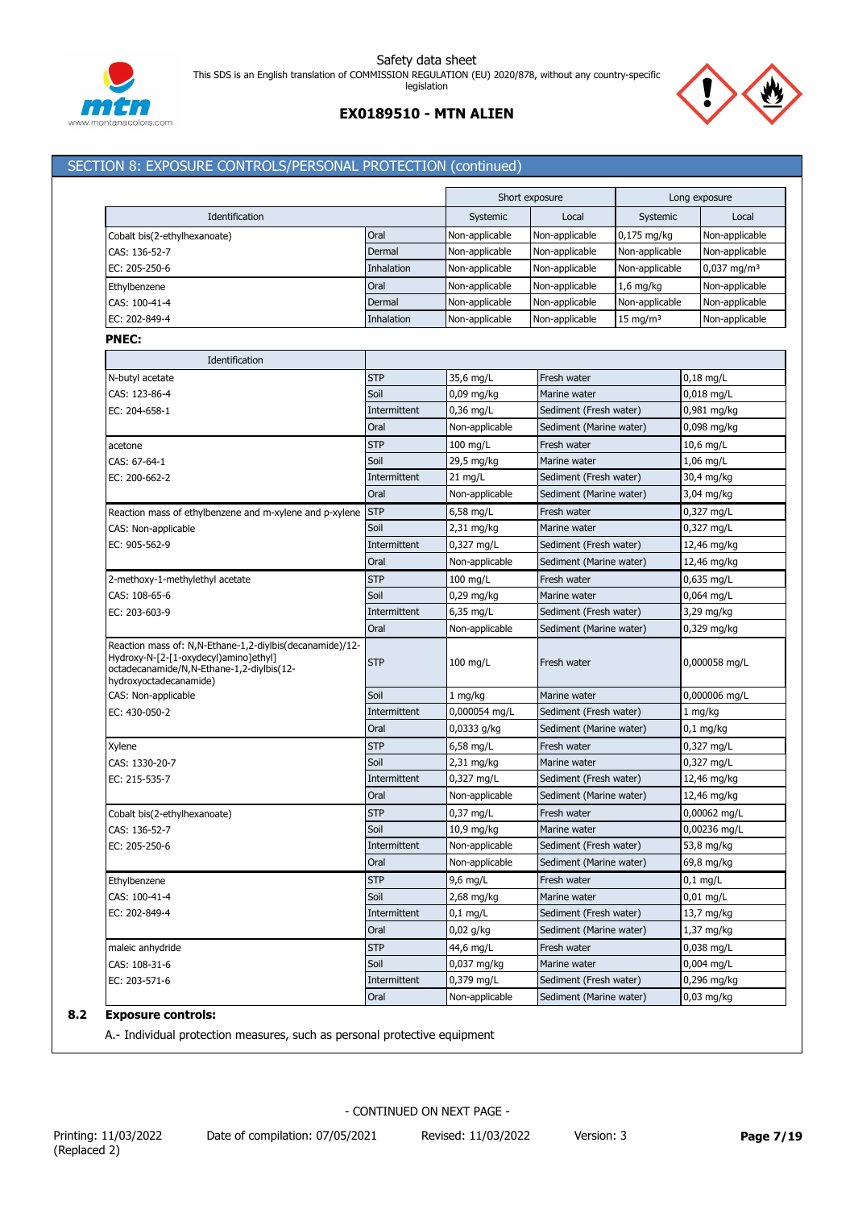



## **EX0189510 - MTN ALIEN**

## SECTION 8: EXPOSURE CONTROLS/PERSONAL PROTECTION (continued)

|                                                                                                                                                                             |              |                | Short exposure          |                     | Long exposure             |
|-----------------------------------------------------------------------------------------------------------------------------------------------------------------------------|--------------|----------------|-------------------------|---------------------|---------------------------|
| Identification                                                                                                                                                              |              | Systemic       | Local                   | Systemic            | Local                     |
| Cobalt bis(2-ethylhexanoate)                                                                                                                                                | Oral         | Non-applicable | Non-applicable          | $0,175$ mg/kg       | Non-applicable            |
| CAS: 136-52-7                                                                                                                                                               | Dermal       | Non-applicable | Non-applicable          | Non-applicable      | Non-applicable            |
| EC: 205-250-6                                                                                                                                                               | Inhalation   | Non-applicable | Non-applicable          | Non-applicable      | $0,037$ mg/m <sup>3</sup> |
| Ethylbenzene                                                                                                                                                                | Oral         | Non-applicable | Non-applicable          | $1,6$ mg/kg         | Non-applicable            |
| CAS: 100-41-4                                                                                                                                                               | Dermal       | Non-applicable | Non-applicable          | Non-applicable      | Non-applicable            |
| EC: 202-849-4                                                                                                                                                               | Inhalation   | Non-applicable | Non-applicable          | $15 \text{ mg/m}^3$ | Non-applicable            |
| <b>PNEC:</b>                                                                                                                                                                |              |                |                         |                     |                           |
| Identification                                                                                                                                                              |              |                |                         |                     |                           |
| N-butyl acetate                                                                                                                                                             | <b>STP</b>   | 35,6 mg/L      | Fresh water             |                     | $0,18$ mg/L               |
| CAS: 123-86-4                                                                                                                                                               | Soil         | $0,09$ mg/kg   | Marine water            |                     | $0,018$ mg/L              |
| EC: 204-658-1                                                                                                                                                               | Intermittent | 0,36 mg/L      | Sediment (Fresh water)  |                     | 0,981 mg/kg               |
|                                                                                                                                                                             | Oral         | Non-applicable | Sediment (Marine water) |                     | 0,098 mg/kg               |
| acetone                                                                                                                                                                     | <b>STP</b>   | $100$ mg/L     | Fresh water             |                     | 10,6 mg/L                 |
| CAS: 67-64-1                                                                                                                                                                | Soil         | 29,5 mg/kg     | Marine water            |                     | $1,06$ mg/L               |
| EC: 200-662-2                                                                                                                                                               | Intermittent | $21$ mg/L      | Sediment (Fresh water)  |                     | 30,4 mg/kg                |
|                                                                                                                                                                             | Oral         | Non-applicable | Sediment (Marine water) |                     | 3,04 mg/kg                |
| Reaction mass of ethylbenzene and m-xylene and p-xylene                                                                                                                     | <b>STP</b>   | 6,58 mg/L      | Fresh water             |                     | 0,327 mg/L                |
| CAS: Non-applicable                                                                                                                                                         | Soil         | 2,31 mg/kg     | Marine water            |                     | 0,327 mg/L                |
| EC: 905-562-9                                                                                                                                                               | Intermittent | 0,327 mg/L     | Sediment (Fresh water)  |                     | 12,46 mg/kg               |
|                                                                                                                                                                             | Oral         | Non-applicable | Sediment (Marine water) |                     | 12,46 mg/kg               |
| 2-methoxy-1-methylethyl acetate                                                                                                                                             | <b>STP</b>   | $100$ mg/L     | Fresh water             |                     | $0,635$ mg/L              |
| CAS: 108-65-6                                                                                                                                                               | Soil         | 0,29 mg/kg     | Marine water            |                     | $0,064$ mg/L              |
| EC: 203-603-9                                                                                                                                                               | Intermittent | $6,35$ mg/L    | Sediment (Fresh water)  |                     | 3,29 mg/kg                |
|                                                                                                                                                                             | Oral         | Non-applicable | Sediment (Marine water) |                     | 0,329 mg/kg               |
| Reaction mass of: N, N-Ethane-1, 2-diylbis (decanamide)/12-<br>Hydroxy-N-[2-[1-oxydecyl)amino]ethyl]<br>octadecanamide/N,N-Ethane-1,2-diylbis(12-<br>hydroxyoctadecanamide) | <b>STP</b>   | $100$ mg/L     | Fresh water             |                     | 0,000058 mg/L             |
| CAS: Non-applicable                                                                                                                                                         | Soil         | $1 \, mg/kg$   | Marine water            |                     | 0,000006 mg/L             |
| EC: 430-050-2                                                                                                                                                               | Intermittent | 0,000054 mg/L  | Sediment (Fresh water)  |                     | 1 mg/kg                   |
|                                                                                                                                                                             | Oral         | 0,0333 g/kg    | Sediment (Marine water) |                     | $0,1$ mg/kg               |
| Xylene                                                                                                                                                                      | <b>STP</b>   | $6,58$ mg/L    | Fresh water             |                     | 0,327 mg/L                |
| CAS: 1330-20-7                                                                                                                                                              | Soil         | 2,31 mg/kg     | Marine water            |                     | 0,327 mg/L                |
| EC: 215-535-7                                                                                                                                                               | Intermittent | 0,327 mg/L     | Sediment (Fresh water)  |                     | 12,46 mg/kg               |
|                                                                                                                                                                             | Oral         | Non-applicable | Sediment (Marine water) |                     | 12,46 mg/kg               |
| Cobalt bis(2-ethylhexanoate)                                                                                                                                                | <b>STP</b>   | $0.37$ mg/L    | Fresh water             |                     | 0,00062 mg/L              |
| CAS: 136-52-7                                                                                                                                                               | Soil         | 10,9 mg/kg     | Marine water            |                     | 0,00236 mg/L              |
| EC: 205-250-6                                                                                                                                                               | Intermittent | Non-applicable | Sediment (Fresh water)  |                     | 53,8 mg/kg                |
|                                                                                                                                                                             | Oral         | Non-applicable | Sediment (Marine water) |                     | 69,8 mg/kg                |
| Ethylbenzene                                                                                                                                                                | <b>STP</b>   | 9,6 mg/L       | Fresh water             |                     | $0,1$ mg/L                |
| CAS: 100-41-4                                                                                                                                                               | Soil         | 2,68 mg/kg     | Marine water            |                     | $0,01$ mg/L               |
| EC: 202-849-4                                                                                                                                                               | Intermittent | $0,1$ mg/L     | Sediment (Fresh water)  |                     | 13,7 mg/kg                |
|                                                                                                                                                                             | Oral         | 0,02 g/kg      | Sediment (Marine water) |                     | 1,37 mg/kg                |
| maleic anhydride                                                                                                                                                            | <b>STP</b>   | 44,6 mg/L      | Fresh water             |                     | 0,038 mg/L                |
| CAS: 108-31-6                                                                                                                                                               | Soil         | 0,037 mg/kg    | Marine water            |                     | 0,004 mg/L                |
| EC: 203-571-6                                                                                                                                                               | Intermittent | 0,379 mg/L     | Sediment (Fresh water)  |                     | 0,296 mg/kg               |
|                                                                                                                                                                             | Oral         | Non-applicable | Sediment (Marine water) |                     | 0,03 mg/kg                |

## **8.2 Exposure controls:**

A.- Individual protection measures, such as personal protective equipment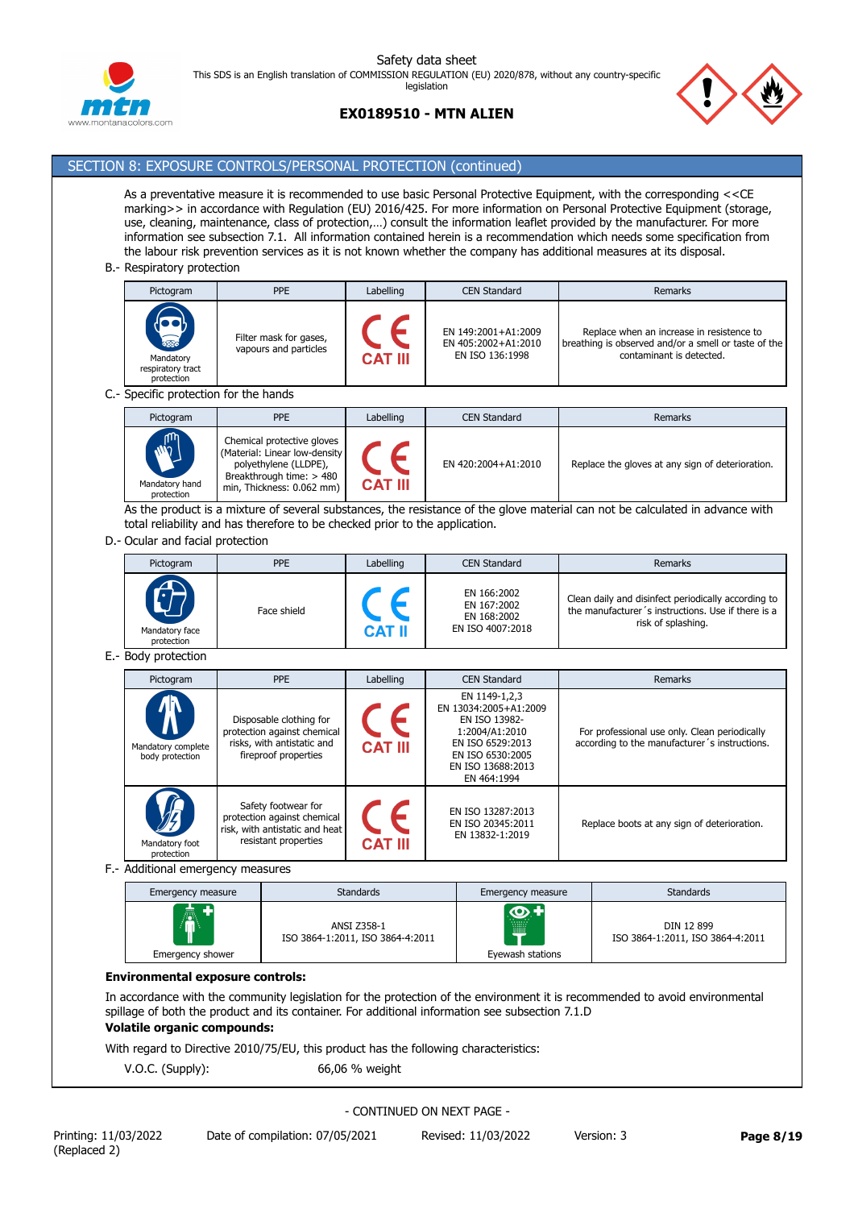

## **EX0189510 - MTN ALIEN**



# SECTION 8: EXPOSURE CONTROLS/PERSONAL PROTECTION (continued)

As a preventative measure it is recommended to use basic Personal Protective Equipment, with the corresponding <<CE marking>> in accordance with Regulation (EU) 2016/425. For more information on Personal Protective Equipment (storage, use, cleaning, maintenance, class of protection,…) consult the information leaflet provided by the manufacturer. For more information see subsection 7.1. All information contained herein is a recommendation which needs some specification from the labour risk prevention services as it is not known whether the company has additional measures at its disposal.

#### B.- Respiratory protection

| Pictogram                                                       | <b>PPE</b>                                      | Labelling      | <b>CEN Standard</b>                                           | Remarks                                                                                                                       |  |  |  |
|-----------------------------------------------------------------|-------------------------------------------------|----------------|---------------------------------------------------------------|-------------------------------------------------------------------------------------------------------------------------------|--|--|--|
| <b>RESPONSE</b><br>Mandatory<br>respiratory tract<br>protection | Filter mask for gases,<br>vapours and particles | <b>CAT III</b> | EN 149:2001+A1:2009<br>EN 405:2002+A1:2010<br>EN ISO 136:1998 | Replace when an increase in resistence to<br>breathing is observed and/or a smell or taste of the<br>contaminant is detected. |  |  |  |
| Specific protection for the hands                               |                                                 |                |                                                               |                                                                                                                               |  |  |  |

C.- Specific protection for the hands

| Pictogram                                   | <b>PPE</b>                                                                                                                                    | Labelling      | <b>CEN Standard</b> | Remarks                                          |
|---------------------------------------------|-----------------------------------------------------------------------------------------------------------------------------------------------|----------------|---------------------|--------------------------------------------------|
| <b>ANTI</b><br>Mandatory hand<br>protection | Chemical protective gloves<br>(Material: Linear low-density<br>polyethylene (LLDPE),<br>Breakthrough time: > 480<br>min, Thickness: 0.062 mm) | <b>CAT III</b> | EN 420:2004+A1:2010 | Replace the gloves at any sign of deterioration. |

As the product is a mixture of several substances, the resistance of the glove material can not be calculated in advance with total reliability and has therefore to be checked prior to the application.

D.- Ocular and facial protection

| Pictogram                    | <b>PPE</b>  | Labelling     | <b>CEN Standard</b>                                           | Remarks                                                                                                                         |
|------------------------------|-------------|---------------|---------------------------------------------------------------|---------------------------------------------------------------------------------------------------------------------------------|
| Mandatory face<br>protection | Face shield | <b>CAT II</b> | EN 166:2002<br>EN 167:2002<br>EN 168:2002<br>EN ISO 4007:2018 | Clean daily and disinfect periodically according to<br>the manufacturer's instructions. Use if there is a<br>risk of splashing. |

#### E.- Body protection

| Pictogram                                  | <b>PPE</b>                                                                                                   | Labelling      | <b>CEN Standard</b>                                                                                                                                   | <b>Remarks</b>                                                                                 |
|--------------------------------------------|--------------------------------------------------------------------------------------------------------------|----------------|-------------------------------------------------------------------------------------------------------------------------------------------------------|------------------------------------------------------------------------------------------------|
| W<br>Mandatory complete<br>body protection | Disposable clothing for<br>protection against chemical<br>risks, with antistatic and<br>fireproof properties | <b>CAT III</b> | EN 1149-1,2,3<br>EN 13034:2005+A1:2009<br>EN ISO 13982-<br>1:2004/A1:2010<br>EN ISO 6529:2013<br>EN ISO 6530:2005<br>EN ISO 13688:2013<br>EN 464:1994 | For professional use only. Clean periodically<br>according to the manufacturer's instructions. |
| Mandatory foot<br>protection               | Safety footwear for<br>protection against chemical<br>risk, with antistatic and heat<br>resistant properties | <b>CAT III</b> | EN ISO 13287:2013<br>EN ISO 20345:2011<br>EN 13832-1:2019                                                                                             | Replace boots at any sign of deterioration.                                                    |

F.- Additional emergency measures

| Emergency measure | <b>Standards</b>                                | Emergency measure | <b>Standards</b>                               |
|-------------------|-------------------------------------------------|-------------------|------------------------------------------------|
| <b>AV</b>         | ANSI Z358-1<br>ISO 3864-1:2011, ISO 3864-4:2011 | $\bullet$<br>W    | DIN 12 899<br>ISO 3864-1:2011, ISO 3864-4:2011 |
| Emergency shower  |                                                 | Eyewash stations  |                                                |

## **Environmental exposure controls:**

In accordance with the community legislation for the protection of the environment it is recommended to avoid environmental spillage of both the product and its container. For additional information see subsection 7.1.D

## **Volatile organic compounds:**

With regard to Directive 2010/75/EU, this product has the following characteristics:

V.O.C. (Supply): 66,06 % weight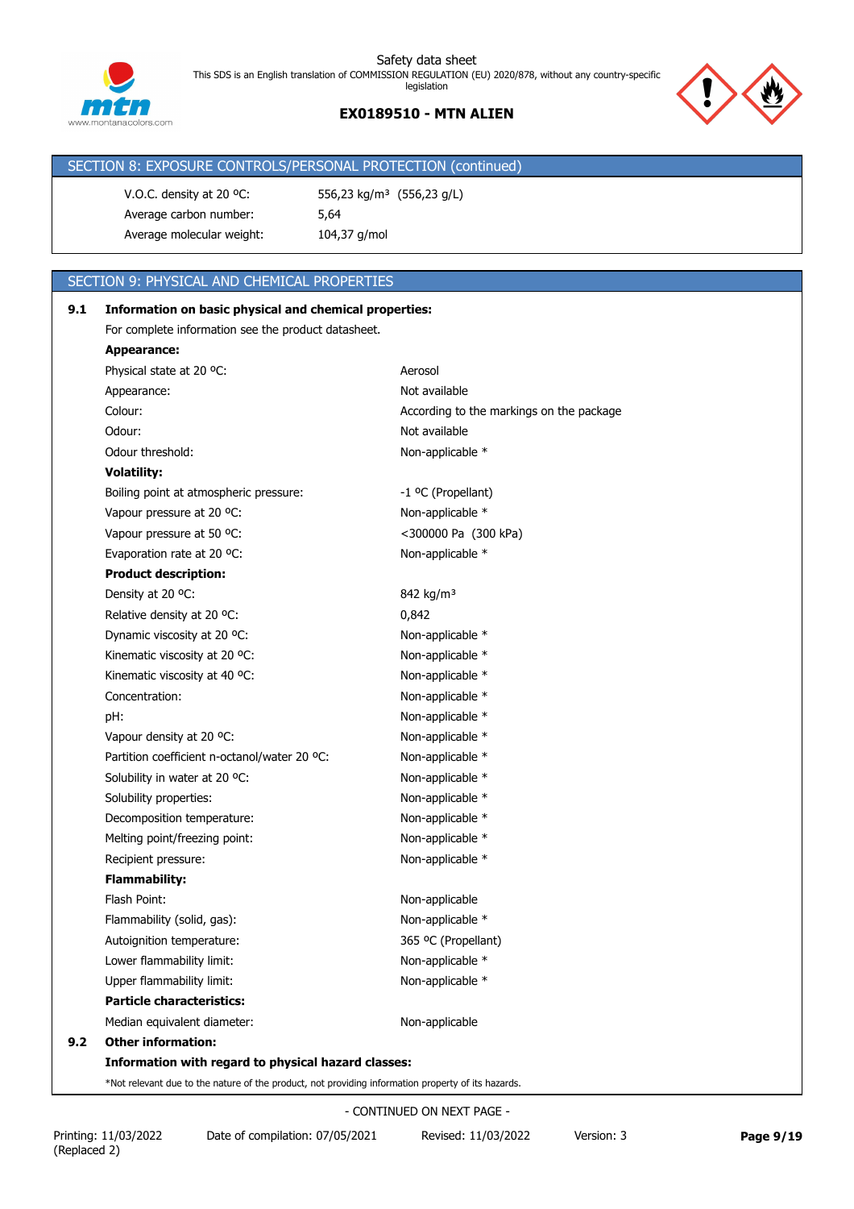## **EX0189510 - MTN ALIEN**



| SECTION 8: EXPOSURE CONTROLS/PERSONAL PROTECTION (continued) |  |
|--------------------------------------------------------------|--|
|                                                              |  |

V.O.C. density at 20 °C: 556,23 kg/m<sup>3</sup> (556,23 g/L) Average carbon number: 5,64 Average molecular weight: 104,37 g/mol

## SECTION 9: PHYSICAL AND CHEMICAL PROPERTIES

| 9.1 | Information on basic physical and chemical properties:                                             |                                          |  |  |  |  |
|-----|----------------------------------------------------------------------------------------------------|------------------------------------------|--|--|--|--|
|     | For complete information see the product datasheet.                                                |                                          |  |  |  |  |
|     | <b>Appearance:</b>                                                                                 |                                          |  |  |  |  |
|     | Physical state at 20 °C:                                                                           | Aerosol                                  |  |  |  |  |
|     | Appearance:                                                                                        | Not available                            |  |  |  |  |
|     | Colour:                                                                                            | According to the markings on the package |  |  |  |  |
|     | Odour:                                                                                             | Not available                            |  |  |  |  |
|     | Odour threshold:                                                                                   | Non-applicable *                         |  |  |  |  |
|     | <b>Volatility:</b>                                                                                 |                                          |  |  |  |  |
|     | Boiling point at atmospheric pressure:                                                             | -1 °C (Propellant)                       |  |  |  |  |
|     | Vapour pressure at 20 °C:                                                                          | Non-applicable *                         |  |  |  |  |
|     | Vapour pressure at 50 °C:                                                                          | <300000 Pa (300 kPa)                     |  |  |  |  |
|     | Evaporation rate at 20 °C:                                                                         | Non-applicable *                         |  |  |  |  |
|     | <b>Product description:</b>                                                                        |                                          |  |  |  |  |
|     | Density at 20 °C:                                                                                  | 842 kg/m <sup>3</sup>                    |  |  |  |  |
|     | Relative density at 20 °C:                                                                         | 0,842                                    |  |  |  |  |
|     | Dynamic viscosity at 20 °C:                                                                        | Non-applicable *                         |  |  |  |  |
|     | Kinematic viscosity at 20 °C:                                                                      | Non-applicable *                         |  |  |  |  |
|     | Kinematic viscosity at 40 °C:                                                                      | Non-applicable *                         |  |  |  |  |
|     | Concentration:                                                                                     | Non-applicable *                         |  |  |  |  |
|     | pH:                                                                                                | Non-applicable *                         |  |  |  |  |
|     | Vapour density at 20 °C:                                                                           | Non-applicable *                         |  |  |  |  |
|     | Partition coefficient n-octanol/water 20 °C:                                                       | Non-applicable *                         |  |  |  |  |
|     | Solubility in water at 20 °C:                                                                      | Non-applicable *                         |  |  |  |  |
|     | Solubility properties:                                                                             | Non-applicable *                         |  |  |  |  |
|     | Decomposition temperature:                                                                         | Non-applicable *                         |  |  |  |  |
|     | Melting point/freezing point:                                                                      | Non-applicable *                         |  |  |  |  |
|     | Recipient pressure:                                                                                | Non-applicable *                         |  |  |  |  |
|     | <b>Flammability:</b>                                                                               |                                          |  |  |  |  |
|     | Flash Point:                                                                                       | Non-applicable                           |  |  |  |  |
|     | Flammability (solid, gas):                                                                         | Non-applicable *                         |  |  |  |  |
|     | Autoignition temperature:                                                                          | 365 °C (Propellant)                      |  |  |  |  |
|     | Lower flammability limit:                                                                          | Non-applicable *                         |  |  |  |  |
|     | Upper flammability limit:                                                                          | Non-applicable *                         |  |  |  |  |
|     | <b>Particle characteristics:</b>                                                                   |                                          |  |  |  |  |
|     | Median equivalent diameter:                                                                        | Non-applicable                           |  |  |  |  |
| 9.2 | <b>Other information:</b>                                                                          |                                          |  |  |  |  |
|     | Information with regard to physical hazard classes:                                                |                                          |  |  |  |  |
|     | *Not relevant due to the nature of the product, not providing information property of its hazards. |                                          |  |  |  |  |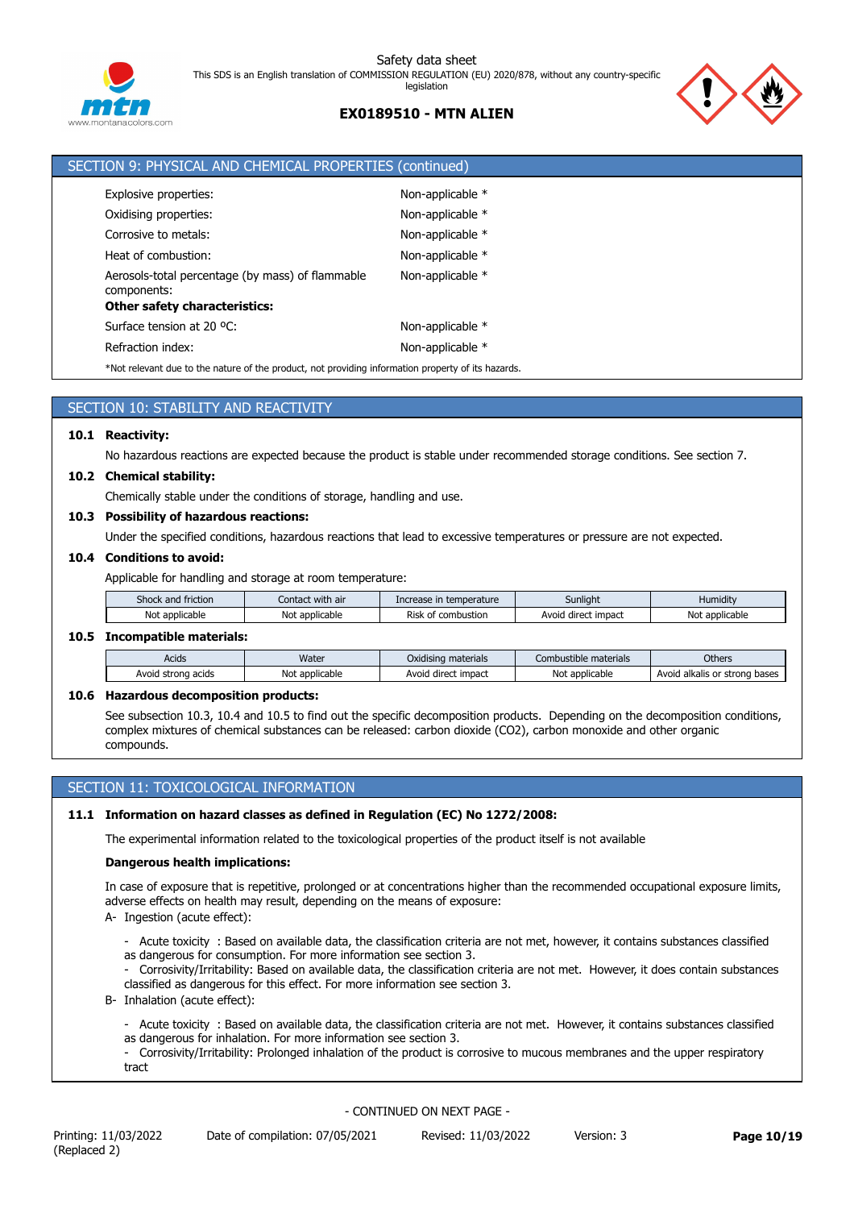



| SECTION 9: PHYSICAL AND CHEMICAL PROPERTIES (continued)                                            |                  |
|----------------------------------------------------------------------------------------------------|------------------|
| Explosive properties:                                                                              | Non-applicable * |
| Oxidising properties:                                                                              | Non-applicable * |
| Corrosive to metals:                                                                               | Non-applicable * |
| Heat of combustion:                                                                                | Non-applicable * |
| Aerosols-total percentage (by mass) of flammable<br>components:                                    | Non-applicable * |
| <b>Other safety characteristics:</b>                                                               |                  |
| Surface tension at 20 °C:                                                                          | Non-applicable * |
| Refraction index:                                                                                  | Non-applicable * |
| *Not relevant due to the nature of the product, not providing information property of its hazards. |                  |

## SECTION 10: STABILITY AND REACTIVITY

#### **10.1 Reactivity:**

No hazardous reactions are expected because the product is stable under recommended storage conditions. See section 7.

#### **10.2 Chemical stability:**

Chemically stable under the conditions of storage, handling and use.

#### **10.3 Possibility of hazardous reactions:**

Under the specified conditions, hazardous reactions that lead to excessive temperatures or pressure are not expected.

#### **10.4 Conditions to avoid:**

Applicable for handling and storage at room temperature:

| friction<br>and   | <br>with air<br>Contact | temperature<br>ease in<br>.ncr  | Sunlight               | Humidit           |
|-------------------|-------------------------|---------------------------------|------------------------|-------------------|
| Not<br>applicable | N٥<br>applicable        | - -<br>combustion<br>Risk<br>nt | direct impact<br>Avoig | Not<br>applicable |

## **10.5 Incompatible materials:**

| Acids                 | Water             | Oxidising materials       | Combustible materials | Others                              |
|-----------------------|-------------------|---------------------------|-----------------------|-------------------------------------|
| Avoid strong<br>acids | applicable<br>No! | impact<br>Avoio<br>direct | Not<br>: applicable   | Avoid alkalis<br>bases<br>or strona |

## **10.6 Hazardous decomposition products:**

See subsection 10.3, 10.4 and 10.5 to find out the specific decomposition products. Depending on the decomposition conditions, complex mixtures of chemical substances can be released: carbon dioxide (CO2), carbon monoxide and other organic compounds.

## SECTION 11: TOXICOLOGICAL INFORMATION

#### **11.1 Information on hazard classes as defined in Regulation (EC) No 1272/2008:**

The experimental information related to the toxicological properties of the product itself is not available

#### **Dangerous health implications:**

In case of exposure that is repetitive, prolonged or at concentrations higher than the recommended occupational exposure limits, adverse effects on health may result, depending on the means of exposure:

A- Ingestion (acute effect):

- Acute toxicity : Based on available data, the classification criteria are not met, however, it contains substances classified as dangerous for consumption. For more information see section 3.
- Corrosivity/Irritability: Based on available data, the classification criteria are not met. However, it does contain substances classified as dangerous for this effect. For more information see section 3.
- B- Inhalation (acute effect):
	- Acute toxicity : Based on available data, the classification criteria are not met. However, it contains substances classified as dangerous for inhalation. For more information see section 3.
	- Corrosivity/Irritability: Prolonged inhalation of the product is corrosive to mucous membranes and the upper respiratory tract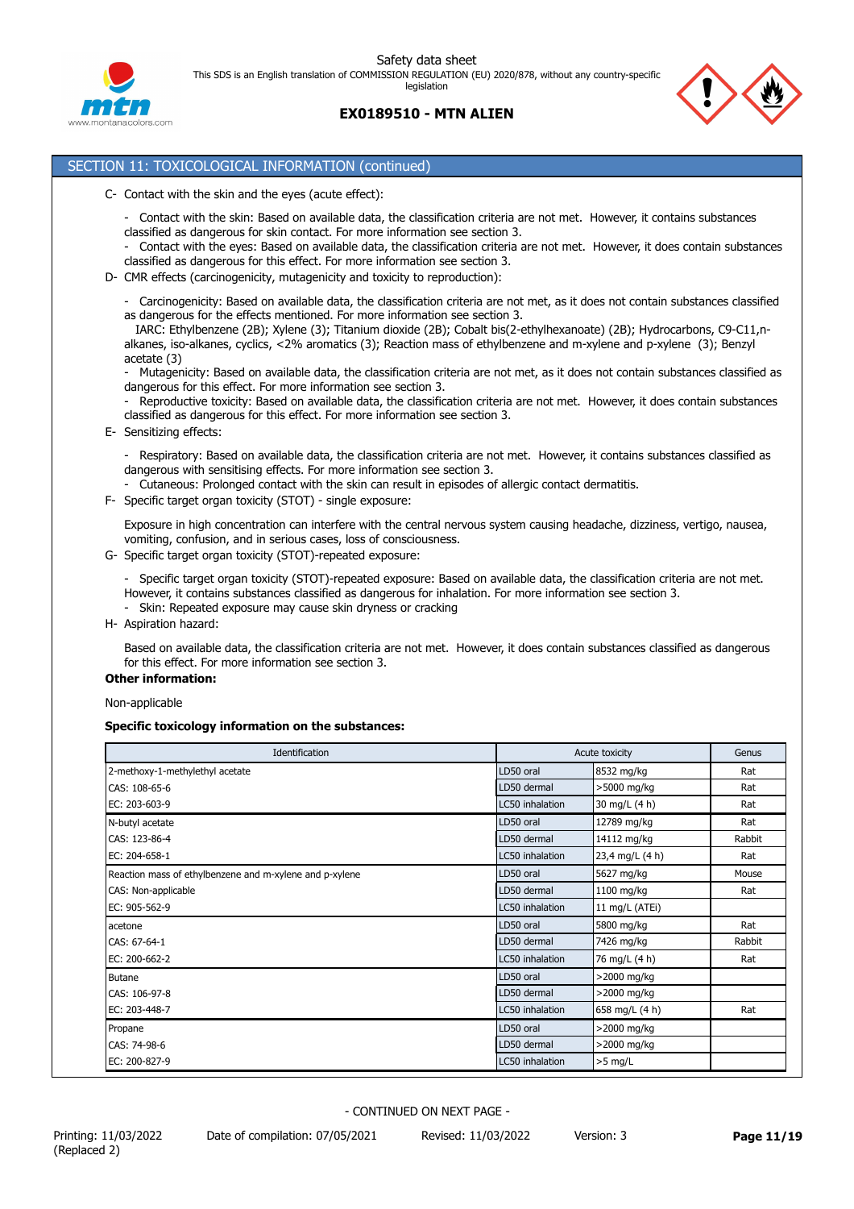



## SECTION 11: TOXICOLOGICAL INFORMATION (continued)

- C- Contact with the skin and the eyes (acute effect):
	- Contact with the skin: Based on available data, the classification criteria are not met. However, it contains substances classified as dangerous for skin contact. For more information see section 3.
	- Contact with the eyes: Based on available data, the classification criteria are not met. However, it does contain substances classified as dangerous for this effect. For more information see section 3.
- D- CMR effects (carcinogenicity, mutagenicity and toxicity to reproduction):

- Carcinogenicity: Based on available data, the classification criteria are not met, as it does not contain substances classified as dangerous for the effects mentioned. For more information see section 3.

 IARC: Ethylbenzene (2B); Xylene (3); Titanium dioxide (2B); Cobalt bis(2-ethylhexanoate) (2B); Hydrocarbons, C9-C11,nalkanes, iso-alkanes, cyclics, <2% aromatics (3); Reaction mass of ethylbenzene and m-xylene and p-xylene (3); Benzyl acetate (3)

- Mutagenicity: Based on available data, the classification criteria are not met, as it does not contain substances classified as dangerous for this effect. For more information see section 3.

Reproductive toxicity: Based on available data, the classification criteria are not met. However, it does contain substances classified as dangerous for this effect. For more information see section 3.

E- Sensitizing effects:

- Respiratory: Based on available data, the classification criteria are not met. However, it contains substances classified as dangerous with sensitising effects. For more information see section 3.

- Cutaneous: Prolonged contact with the skin can result in episodes of allergic contact dermatitis.
- F- Specific target organ toxicity (STOT) single exposure:

Exposure in high concentration can interfere with the central nervous system causing headache, dizziness, vertigo, nausea, vomiting, confusion, and in serious cases, loss of consciousness.

G- Specific target organ toxicity (STOT)-repeated exposure:

- Specific target organ toxicity (STOT)-repeated exposure: Based on available data, the classification criteria are not met. However, it contains substances classified as dangerous for inhalation. For more information see section 3.

- Skin: Repeated exposure may cause skin dryness or cracking
- H- Aspiration hazard:

Based on available data, the classification criteria are not met. However, it does contain substances classified as dangerous for this effect. For more information see section 3.

#### **Other information:**

Non-applicable

## **Specific toxicology information on the substances:**

| Identification                                          |                 | Acute toxicity  | Genus  |
|---------------------------------------------------------|-----------------|-----------------|--------|
| 2-methoxy-1-methylethyl acetate                         | LD50 oral       | 8532 mg/kg      | Rat    |
| CAS: 108-65-6                                           | LD50 dermal     | >5000 mg/kg     | Rat    |
| EC: 203-603-9                                           | LC50 inhalation | 30 mg/L (4 h)   | Rat    |
| N-butyl acetate                                         | LD50 oral       | 12789 mg/kg     | Rat    |
| CAS: 123-86-4                                           | LD50 dermal     | 14112 mg/kg     | Rabbit |
| EC: 204-658-1                                           | LC50 inhalation | 23,4 mg/L (4 h) | Rat    |
| Reaction mass of ethylbenzene and m-xylene and p-xylene | LD50 oral       | 5627 mg/kg      | Mouse  |
| CAS: Non-applicable                                     | LD50 dermal     | 1100 mg/kg      | Rat    |
| EC: 905-562-9                                           | LC50 inhalation | 11 mg/L (ATEi)  |        |
| acetone                                                 | LD50 oral       | 5800 mg/kg      | Rat    |
| CAS: 67-64-1                                            | LD50 dermal     | 7426 mg/kg      | Rabbit |
| EC: 200-662-2                                           | LC50 inhalation | 76 mg/L (4 h)   | Rat    |
| <b>Butane</b>                                           | LD50 oral       | >2000 mg/kg     |        |
| CAS: 106-97-8                                           | LD50 dermal     | >2000 mg/kg     |        |
| EC: 203-448-7                                           | LC50 inhalation | 658 mg/L (4 h)  | Rat    |
| Propane                                                 | LD50 oral       | >2000 mg/kg     |        |
| CAS: 74-98-6                                            | LD50 dermal     | >2000 mg/kg     |        |
| EC: 200-827-9                                           | LC50 inhalation | $>5$ mg/L       |        |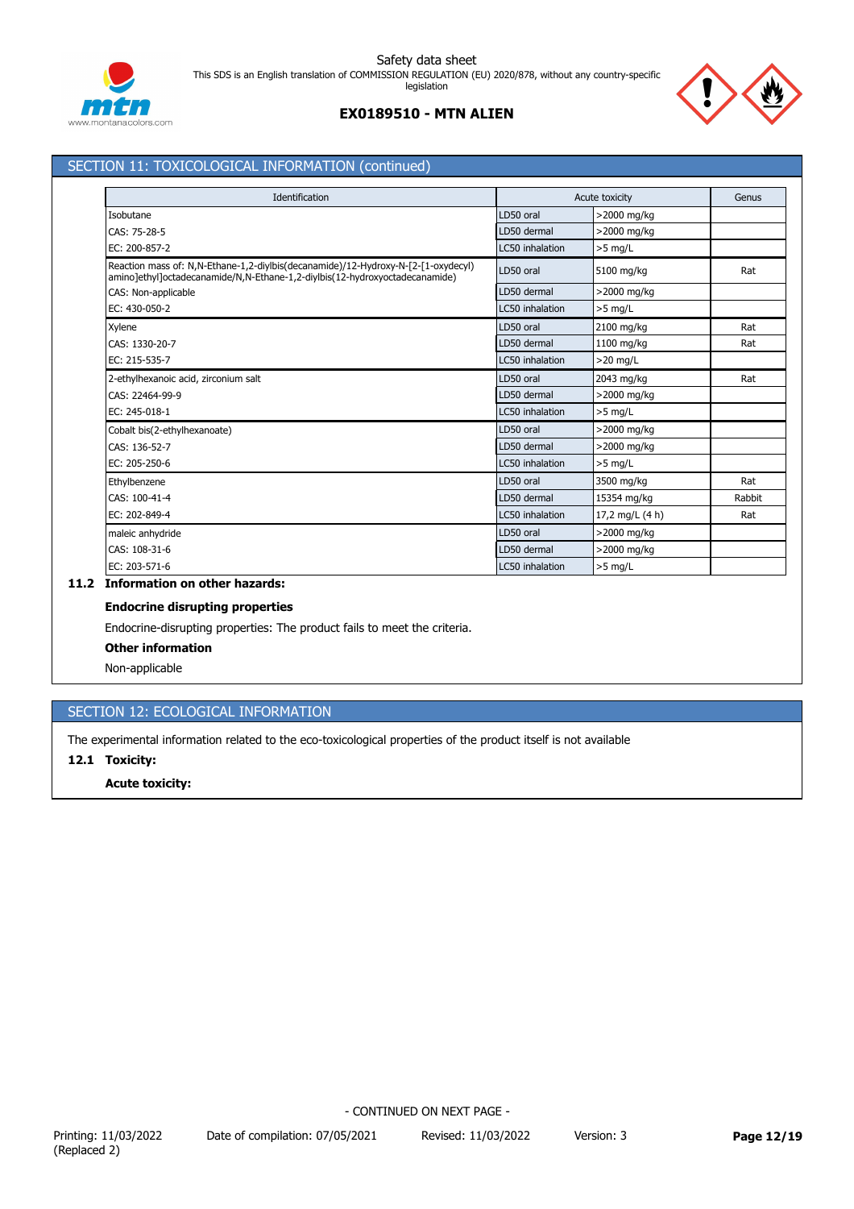





## SECTION 11: TOXICOLOGICAL INFORMATION (continued)

| Identification                                                                                                                                                   |                 | Acute toxicity  | Genus  |
|------------------------------------------------------------------------------------------------------------------------------------------------------------------|-----------------|-----------------|--------|
| Isobutane                                                                                                                                                        | LD50 oral       | >2000 mg/kg     |        |
| CAS: 75-28-5                                                                                                                                                     | LD50 dermal     | >2000 mg/kg     |        |
| EC: 200-857-2                                                                                                                                                    | LC50 inhalation | $>5$ mg/L       |        |
| Reaction mass of: N,N-Ethane-1,2-diylbis(decanamide)/12-Hydroxy-N-[2-[1-oxydecyl)<br>amino]ethyl]octadecanamide/N,N-Ethane-1,2-diylbis(12-hydroxyoctadecanamide) | LD50 oral       | 5100 mg/kg      | Rat    |
| CAS: Non-applicable                                                                                                                                              | LD50 dermal     | >2000 mg/kg     |        |
| EC: 430-050-2                                                                                                                                                    | LC50 inhalation | $>5$ mg/L       |        |
| Xylene                                                                                                                                                           | LD50 oral       | 2100 mg/kg      | Rat    |
| CAS: 1330-20-7                                                                                                                                                   | LD50 dermal     | 1100 mg/kg      | Rat    |
| EC: 215-535-7                                                                                                                                                    | LC50 inhalation | $>20$ mg/L      |        |
| 2-ethylhexanoic acid, zirconium salt                                                                                                                             | LD50 oral       | 2043 mg/kg      | Rat    |
| CAS: 22464-99-9                                                                                                                                                  | LD50 dermal     | >2000 mg/kg     |        |
| EC: 245-018-1                                                                                                                                                    | LC50 inhalation | $>5$ mg/L       |        |
| Cobalt bis(2-ethylhexanoate)                                                                                                                                     | LD50 oral       | >2000 mg/kg     |        |
| CAS: 136-52-7                                                                                                                                                    | LD50 dermal     | >2000 mg/kg     |        |
| EC: 205-250-6                                                                                                                                                    | LC50 inhalation | $>5$ mg/L       |        |
| Ethylbenzene                                                                                                                                                     | LD50 oral       | 3500 mg/kg      | Rat    |
| CAS: 100-41-4                                                                                                                                                    | LD50 dermal     | 15354 mg/kg     | Rabbit |
| EC: 202-849-4                                                                                                                                                    | LC50 inhalation | 17,2 mg/L (4 h) | Rat    |
| maleic anhydride                                                                                                                                                 | LD50 oral       | >2000 mg/kg     |        |
| CAS: 108-31-6                                                                                                                                                    | LD50 dermal     | >2000 mg/kg     |        |
| EC: 203-571-6                                                                                                                                                    | LC50 inhalation | $>5$ mg/L       |        |

## **11.2 Information on other hazards:**

## **Endocrine disrupting properties**

Endocrine-disrupting properties: The product fails to meet the criteria.

## **Other information**

Non-applicable

## SECTION 12: ECOLOGICAL INFORMATION

The experimental information related to the eco-toxicological properties of the product itself is not available

## **12.1 Toxicity:**

## **Acute toxicity:**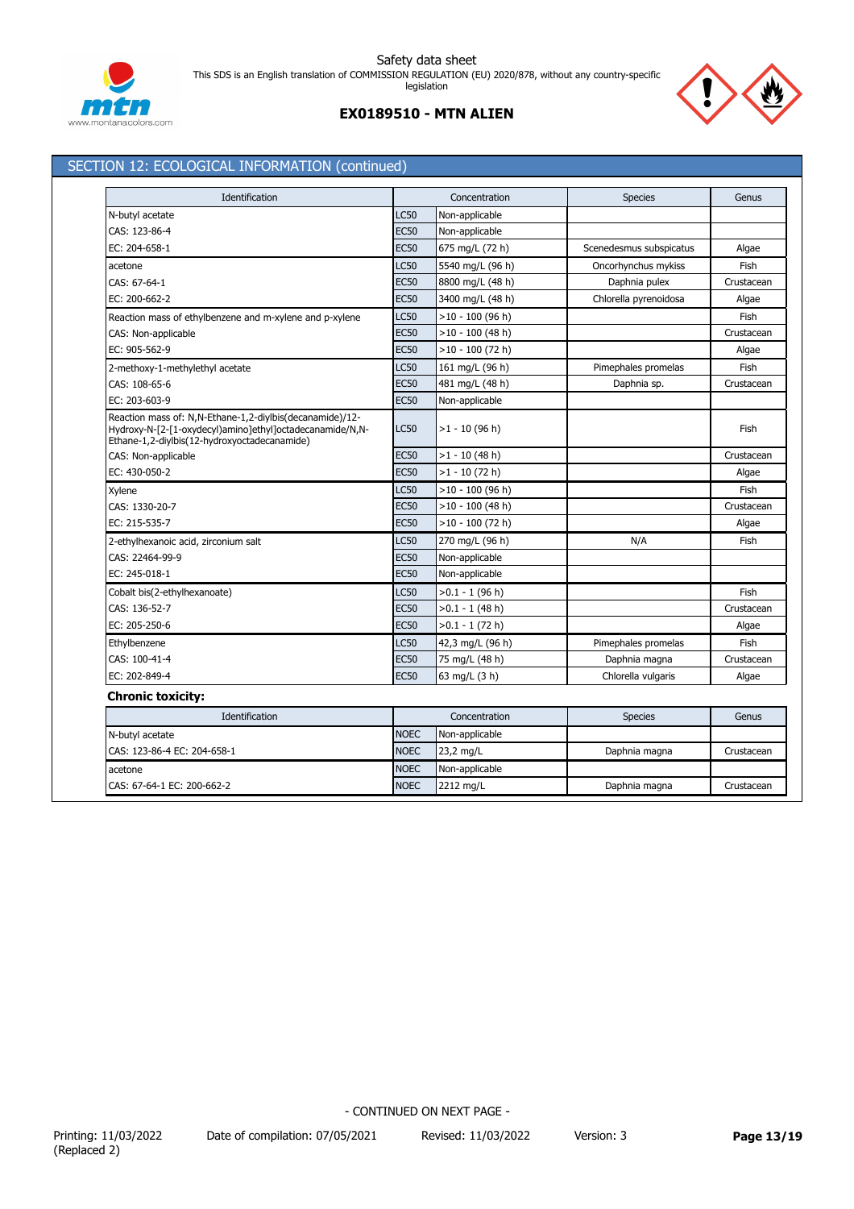





## SECTION 12: ECOLOGICAL INFORMATION (continued)

| Identification                                                                                                                                                       |             | Concentration      | <b>Species</b>          | Genus      |
|----------------------------------------------------------------------------------------------------------------------------------------------------------------------|-------------|--------------------|-------------------------|------------|
| N-butyl acetate                                                                                                                                                      | <b>LC50</b> | Non-applicable     |                         |            |
| CAS: 123-86-4                                                                                                                                                        | <b>EC50</b> | Non-applicable     |                         |            |
| EC: 204-658-1                                                                                                                                                        | <b>EC50</b> | 675 mg/L (72 h)    | Scenedesmus subspicatus | Algae      |
| acetone                                                                                                                                                              | <b>LC50</b> | 5540 mg/L (96 h)   | Oncorhynchus mykiss     | Fish       |
| CAS: 67-64-1                                                                                                                                                         | <b>EC50</b> | 8800 mg/L (48 h)   | Daphnia pulex           | Crustacean |
| EC: 200-662-2                                                                                                                                                        | <b>EC50</b> | 3400 mg/L (48 h)   | Chlorella pyrenoidosa   | Algae      |
| Reaction mass of ethylbenzene and m-xylene and p-xylene                                                                                                              | <b>LC50</b> | $>10 - 100$ (96 h) |                         | Fish       |
| CAS: Non-applicable                                                                                                                                                  | <b>EC50</b> | $>10 - 100$ (48 h) |                         | Crustacean |
| EC: 905-562-9                                                                                                                                                        | <b>EC50</b> | $>10 - 100$ (72 h) |                         | Algae      |
| 2-methoxy-1-methylethyl acetate                                                                                                                                      | <b>LC50</b> | 161 mg/L (96 h)    | Pimephales promelas     | Fish       |
| CAS: 108-65-6                                                                                                                                                        | <b>EC50</b> | 481 mg/L (48 h)    | Daphnia sp.             | Crustacean |
| EC: 203-603-9                                                                                                                                                        | <b>EC50</b> | Non-applicable     |                         |            |
| Reaction mass of: N,N-Ethane-1,2-diylbis(decanamide)/12-<br>Hydroxy-N-[2-[1-oxydecyl)amino]ethyl]octadecanamide/N,N-<br>Ethane-1,2-diylbis(12-hydroxyoctadecanamide) | LC50        | $>1 - 10$ (96 h)   |                         | Fish       |
| CAS: Non-applicable                                                                                                                                                  | <b>EC50</b> | $>1 - 10$ (48 h)   |                         | Crustacean |
| EC: 430-050-2                                                                                                                                                        | <b>EC50</b> | $>1 - 10$ (72 h)   |                         | Algae      |
| Xylene                                                                                                                                                               | <b>LC50</b> | $>10 - 100$ (96 h) |                         | Fish       |
| CAS: 1330-20-7                                                                                                                                                       | <b>EC50</b> | $>10 - 100$ (48 h) |                         | Crustacean |
| EC: 215-535-7                                                                                                                                                        | <b>EC50</b> | $>10 - 100$ (72 h) |                         | Algae      |
| 2-ethylhexanoic acid, zirconium salt                                                                                                                                 | <b>LC50</b> | 270 mg/L (96 h)    | N/A                     | Fish       |
| CAS: 22464-99-9                                                                                                                                                      | EC50        | Non-applicable     |                         |            |
| EC: 245-018-1                                                                                                                                                        | <b>EC50</b> | Non-applicable     |                         |            |
| Cobalt bis(2-ethylhexanoate)                                                                                                                                         | <b>LC50</b> | $>0.1 - 1$ (96 h)  |                         | Fish       |
| CAS: 136-52-7                                                                                                                                                        | <b>EC50</b> | $>0.1 - 1$ (48 h)  |                         | Crustacean |
| EC: 205-250-6                                                                                                                                                        | <b>EC50</b> | >0.1 - 1 (72 h)    |                         | Algae      |
| Ethylbenzene                                                                                                                                                         | <b>LC50</b> | 42,3 mg/L (96 h)   | Pimephales promelas     | Fish       |
| CAS: 100-41-4                                                                                                                                                        | <b>EC50</b> | 75 mg/L (48 h)     | Daphnia magna           | Crustacean |
| EC: 202-849-4                                                                                                                                                        | <b>EC50</b> | 63 mg/L (3 h)      | Chlorella vulgaris      | Algae      |
| <b>Chronic toxicity:</b>                                                                                                                                             |             |                    |                         |            |
| Identification                                                                                                                                                       |             | Concentration      | <b>Species</b>          | Genus      |
| N-butyl acetate                                                                                                                                                      | <b>NOEC</b> | Non-applicable     |                         |            |
| CAS: 123-86-4 EC: 204-658-1                                                                                                                                          | <b>NOEC</b> | 23,2 mg/L          | Daphnia magna           | Crustacean |
| acetone                                                                                                                                                              | <b>NOEC</b> | Non-applicable     |                         |            |
| CAS: 67-64-1 EC: 200-662-2                                                                                                                                           | <b>NOEC</b> | 2212 mg/L          | Daphnia magna           | Crustacean |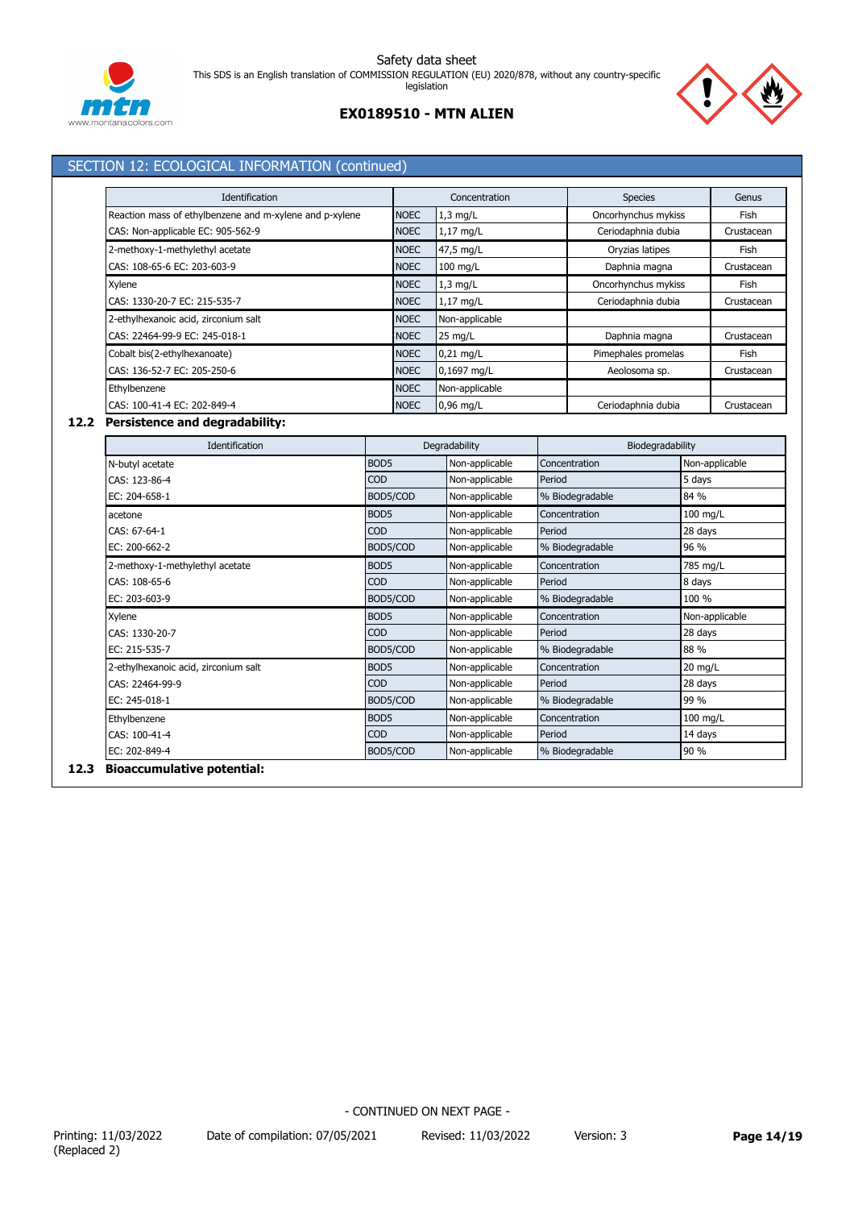



## **EX0189510 - MTN ALIEN**

## SECTION 12: ECOLOGICAL INFORMATION (continued)

| Identification                                          |             | Concentration  | <b>Species</b>      | Genus      |
|---------------------------------------------------------|-------------|----------------|---------------------|------------|
| Reaction mass of ethylbenzene and m-xylene and p-xylene | <b>NOEC</b> | $1,3$ mg/L     | Oncorhynchus mykiss | Fish       |
| CAS: Non-applicable EC: 905-562-9                       | <b>NOEC</b> | 1,17 mg/L      | Ceriodaphnia dubia  | Crustacean |
| 2-methoxy-1-methylethyl acetate                         | <b>NOEC</b> | 47,5 mg/L      | Oryzias latipes     | Fish       |
| CAS: 108-65-6 EC: 203-603-9                             | <b>NOEC</b> | $100$ mg/L     | Daphnia magna       | Crustacean |
| Xylene                                                  | <b>NOEC</b> | $1,3$ mg/L     | Oncorhynchus mykiss | Fish       |
| CAS: 1330-20-7 EC: 215-535-7                            | <b>NOEC</b> | 1,17 mg/L      | Ceriodaphnia dubia  | Crustacean |
| 2-ethylhexanoic acid, zirconium salt                    | <b>NOEC</b> | Non-applicable |                     |            |
| CAS: 22464-99-9 EC: 245-018-1                           | <b>NOEC</b> | 25 mg/L        | Daphnia magna       | Crustacean |
| Cobalt bis(2-ethylhexanoate)                            | <b>NOEC</b> | $0.21$ mg/L    | Pimephales promelas | Fish       |
| CAS: 136-52-7 EC: 205-250-6                             | <b>NOEC</b> | 0,1697 mg/L    | Aeolosoma sp.       | Crustacean |
| Ethylbenzene                                            | <b>NOEC</b> | Non-applicable |                     |            |
| CAS: 100-41-4 EC: 202-849-4                             | <b>NOEC</b> | $0.96$ mg/L    | Ceriodaphnia dubia  | Crustacean |

## **12.2 Persistence and degradability:**

| Identification<br>Degradability      |                  |                | Biodegradability |                |
|--------------------------------------|------------------|----------------|------------------|----------------|
| N-butyl acetate                      | BOD <sub>5</sub> | Non-applicable | Concentration    | Non-applicable |
| CAS: 123-86-4                        | COD              | Non-applicable | Period           | 5 days         |
| EC: 204-658-1                        | BOD5/COD         | Non-applicable | % Biodegradable  | 84 %           |
| acetone                              | BOD <sub>5</sub> | Non-applicable | Concentration    | $100$ mg/L     |
| CAS: 67-64-1                         | COD              | Non-applicable | Period           | 28 days        |
| EC: 200-662-2                        | BOD5/COD         | Non-applicable | % Biodegradable  | 96 %           |
| 2-methoxy-1-methylethyl acetate      | BOD <sub>5</sub> | Non-applicable | Concentration    | 785 mg/L       |
| CAS: 108-65-6                        | <b>COD</b>       | Non-applicable | Period           | 8 days         |
| EC: 203-603-9                        | BOD5/COD         | Non-applicable | % Biodegradable  | 100 %          |
| Xylene                               | BOD <sub>5</sub> | Non-applicable | Concentration    | Non-applicable |
| CAS: 1330-20-7                       | <b>COD</b>       | Non-applicable | Period           | 28 days        |
| EC: 215-535-7                        | BOD5/COD         | Non-applicable | % Biodegradable  | 88 %           |
| 2-ethylhexanoic acid, zirconium salt | BOD <sub>5</sub> | Non-applicable | Concentration    | 20 mg/L        |
| CAS: 22464-99-9                      | COD              | Non-applicable | Period           | 28 days        |
| EC: 245-018-1                        | BOD5/COD         | Non-applicable | % Biodegradable  | 99 %           |
| Ethylbenzene                         | BOD <sub>5</sub> | Non-applicable | Concentration    | $100$ mg/L     |
| CAS: 100-41-4                        | <b>COD</b>       | Non-applicable | Period           | 14 days        |
| EC: 202-849-4                        | BOD5/COD         | Non-applicable | % Biodegradable  | 90 %           |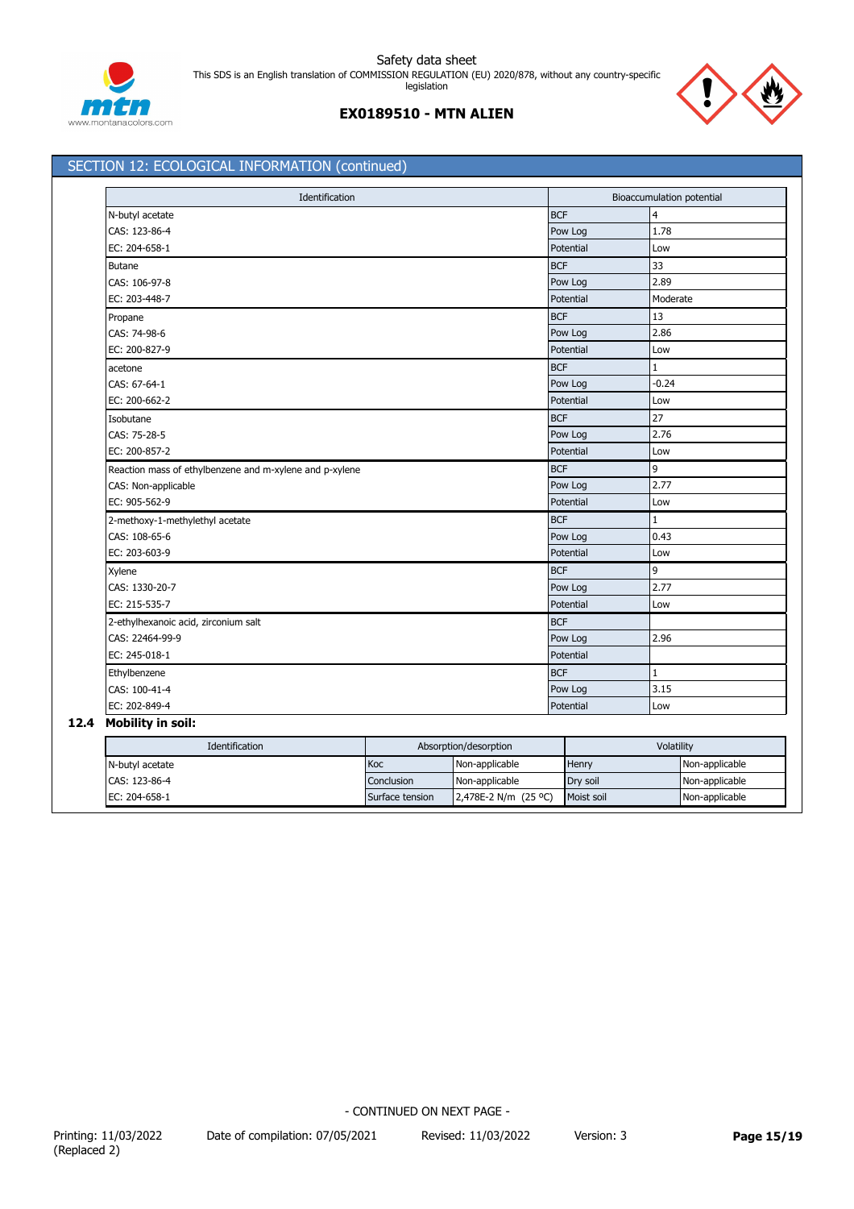

## SECTION 12: ECOLOGICAL INFORMATION (continued)

| Identification                                          |            | Bioaccumulation potential |
|---------------------------------------------------------|------------|---------------------------|
| N-butyl acetate                                         | <b>BCF</b> | $\overline{4}$            |
| CAS: 123-86-4                                           | Pow Log    | 1.78                      |
| EC: 204-658-1                                           | Potential  | Low                       |
| <b>Butane</b>                                           | <b>BCF</b> | 33                        |
| CAS: 106-97-8                                           | Pow Log    | 2.89                      |
| EC: 203-448-7                                           | Potential  | Moderate                  |
| Propane                                                 | <b>BCF</b> | 13                        |
| CAS: 74-98-6                                            | Pow Log    | 2.86                      |
| EC: 200-827-9                                           | Potential  | Low                       |
| acetone                                                 | <b>BCF</b> | 1                         |
| CAS: 67-64-1                                            | Pow Log    | $-0.24$                   |
| EC: 200-662-2                                           | Potential  | Low                       |
| Isobutane                                               | <b>BCF</b> | 27                        |
| CAS: 75-28-5                                            | Pow Log    | 2.76                      |
| EC: 200-857-2                                           | Potential  | Low                       |
| Reaction mass of ethylbenzene and m-xylene and p-xylene | <b>BCF</b> | 9                         |
| CAS: Non-applicable                                     | Pow Log    | 2.77                      |
| EC: 905-562-9                                           | Potential  | Low                       |
| 2-methoxy-1-methylethyl acetate                         | <b>BCF</b> | 1                         |
| CAS: 108-65-6                                           | Pow Log    | 0.43                      |
| EC: 203-603-9                                           | Potential  | Low                       |
| Xylene                                                  | <b>BCF</b> | 9                         |
| CAS: 1330-20-7                                          | Pow Log    | 2.77                      |
| EC: 215-535-7                                           | Potential  | Low                       |
| 2-ethylhexanoic acid, zirconium salt                    | <b>BCF</b> |                           |
| CAS: 22464-99-9                                         | Pow Log    | 2.96                      |
| EC: 245-018-1                                           | Potential  |                           |
| Ethylbenzene                                            | <b>BCF</b> | $\mathbf{1}$              |
| CAS: 100-41-4                                           | Pow Log    | 3.15                      |
| EC: 202-849-4                                           | Potential  | Low                       |

## **12.4 Mobility in soil:**

| Identification  | Absorption/desorption |                      | Volatility |                |
|-----------------|-----------------------|----------------------|------------|----------------|
| N-butyl acetate | Koc                   | Non-applicable       | Henry      | Non-applicable |
| CAS: 123-86-4   | Conclusion            | Non-applicable       | Dry soil   | Non-applicable |
| EC: 204-658-1   | Surface tension       | 2,478E-2 N/m (25 °C) | Moist soil | Non-applicable |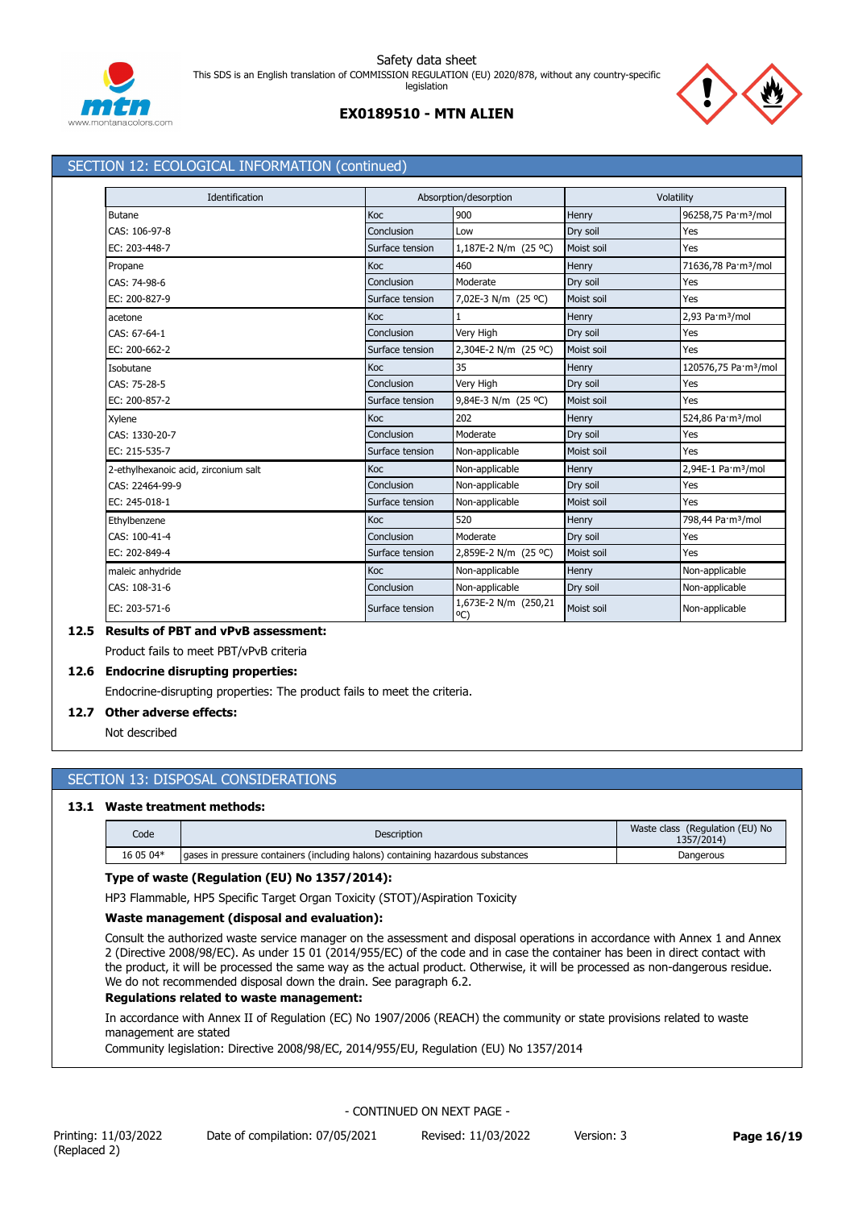





## SECTION 12: ECOLOGICAL INFORMATION (continued)

| Identification                       |                 | Absorption/desorption                 |            | Volatility                       |  |
|--------------------------------------|-----------------|---------------------------------------|------------|----------------------------------|--|
| Butane                               | Koc             | 900                                   | Henry      | 96258,75 Pa·m <sup>3</sup> /mol  |  |
| CAS: 106-97-8                        | Conclusion      | Low                                   | Dry soil   | Yes                              |  |
| EC: 203-448-7                        | Surface tension | 1,187E-2 N/m (25 °C)                  | Moist soil | Yes                              |  |
| Propane                              | Koc             | 460                                   | Henry      | 71636,78 Pa·m <sup>3</sup> /mol  |  |
| CAS: 74-98-6                         | Conclusion      | Moderate                              | Dry soil   | Yes                              |  |
| EC: 200-827-9                        | Surface tension | 7,02E-3 N/m (25 °C)                   | Moist soil | Yes                              |  |
| acetone                              | Koc             |                                       | Henry      | 2,93 Pa·m <sup>3</sup> /mol      |  |
| CAS: 67-64-1                         | Conclusion      | Very High                             | Dry soil   | Yes                              |  |
| EC: 200-662-2                        | Surface tension | 2,304E-2 N/m (25 °C)                  | Moist soil | Yes                              |  |
| Isobutane                            | Koc             | 35                                    | Henry      | 120576,75 Pa·m <sup>3</sup> /mol |  |
| CAS: 75-28-5                         | Conclusion      | Very High                             | Dry soil   | Yes                              |  |
| EC: 200-857-2                        | Surface tension | 9,84E-3 N/m (25 °C)                   | Moist soil | Yes                              |  |
| Xylene                               | Koc             | 202                                   | Henry      | 524,86 Pa·m <sup>3</sup> /mol    |  |
| CAS: 1330-20-7                       | Conclusion      | Moderate                              | Dry soil   | Yes                              |  |
| EC: 215-535-7                        | Surface tension | Non-applicable                        | Moist soil | Yes                              |  |
| 2-ethylhexanoic acid, zirconium salt | <b>Koc</b>      | Non-applicable                        | Henry      | 2,94E-1 Pa·m <sup>3</sup> /mol   |  |
| CAS: 22464-99-9                      | Conclusion      | Non-applicable                        | Dry soil   | Yes                              |  |
| EC: 245-018-1                        | Surface tension | Non-applicable                        | Moist soil | Yes                              |  |
| Ethylbenzene                         | <b>Koc</b>      | 520                                   | Henry      | 798,44 Pa·m <sup>3</sup> /mol    |  |
| CAS: 100-41-4                        | Conclusion      | Moderate                              | Dry soil   | Yes                              |  |
| EC: 202-849-4                        | Surface tension | 2,859E-2 N/m (25 °C)                  | Moist soil | Yes                              |  |
| maleic anhydride                     | Koc             | Non-applicable                        | Henry      | Non-applicable                   |  |
| CAS: 108-31-6                        | Conclusion      | Non-applicable                        | Dry soil   | Non-applicable                   |  |
| EC: 203-571-6                        | Surface tension | 1,673E-2 N/m (250,21<br>$^{\circ}$ C) | Moist soil | Non-applicable                   |  |

## **12.5 Results of PBT and vPvB assessment:**

Product fails to meet PBT/vPvB criteria

## **12.6 Endocrine disrupting properties:**

Endocrine-disrupting properties: The product fails to meet the criteria.

## **12.7 Other adverse effects:**

Not described

## SECTION 13: DISPOSAL CONSIDERATIONS

### **13.1 Waste treatment methods:**

| Code      | Description                                                                      | Waste class (Regulation (EU) No<br>1357/2014) |  |
|-----------|----------------------------------------------------------------------------------|-----------------------------------------------|--|
| 16 05 04* | Laases in pressure containers (including halons) containing hazardous substances | Dangerous                                     |  |

## **Type of waste (Regulation (EU) No 1357/2014):**

HP3 Flammable, HP5 Specific Target Organ Toxicity (STOT)/Aspiration Toxicity

#### **Waste management (disposal and evaluation):**

Consult the authorized waste service manager on the assessment and disposal operations in accordance with Annex 1 and Annex 2 (Directive 2008/98/EC). As under 15 01 (2014/955/EC) of the code and in case the container has been in direct contact with the product, it will be processed the same way as the actual product. Otherwise, it will be processed as non-dangerous residue. We do not recommended disposal down the drain. See paragraph 6.2.

## **Regulations related to waste management:**

In accordance with Annex II of Regulation (EC) No 1907/2006 (REACH) the community or state provisions related to waste management are stated

Community legislation: Directive 2008/98/EC, 2014/955/EU, Regulation (EU) No 1357/2014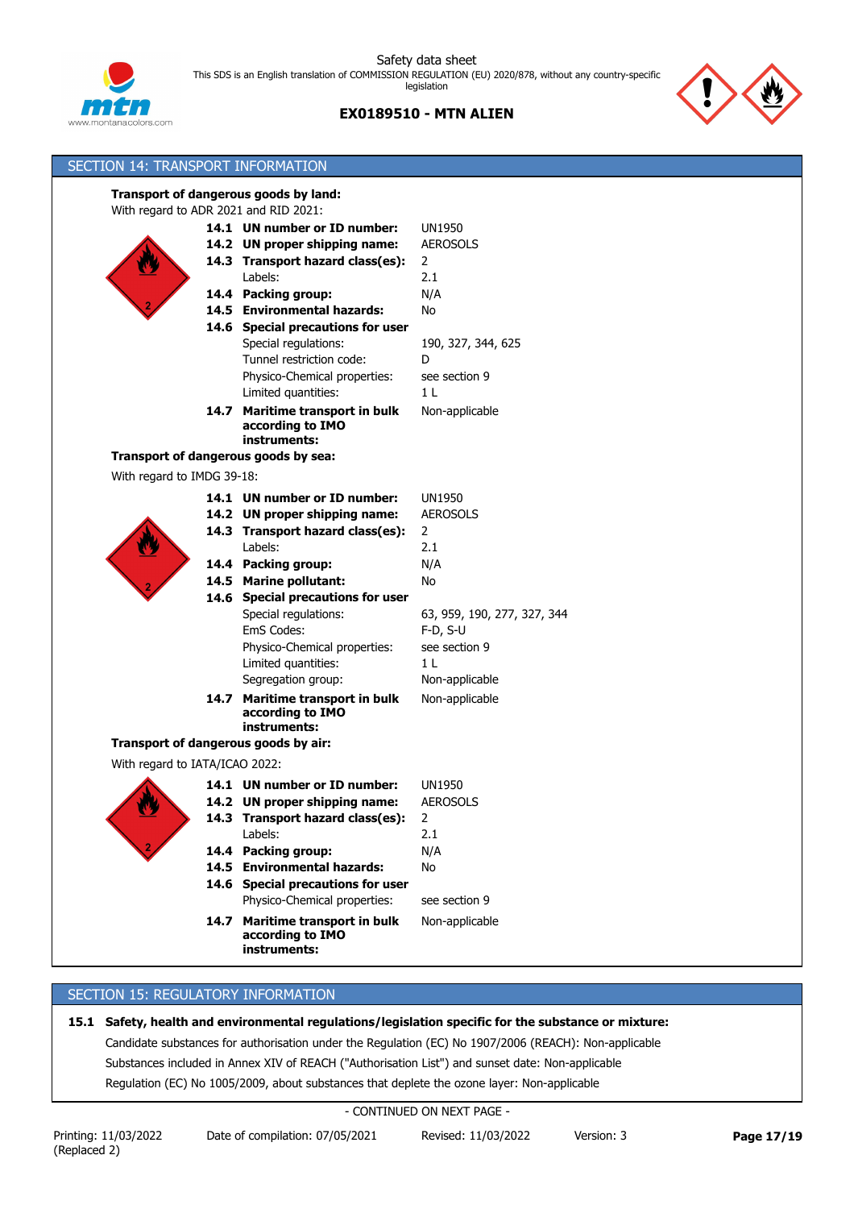

**EX0189510 - MTN ALIEN**



| SECTION 14: TRANSPORT INFORMATION     |                                                     |                             |
|---------------------------------------|-----------------------------------------------------|-----------------------------|
|                                       | Transport of dangerous goods by land:               |                             |
| With regard to ADR 2021 and RID 2021: |                                                     |                             |
|                                       | 14.1 UN number or ID number:                        | <b>UN1950</b>               |
|                                       | 14.2 UN proper shipping name:                       | <b>AEROSOLS</b>             |
|                                       | 14.3 Transport hazard class(es):                    | $\overline{2}$              |
|                                       | Labels:                                             | 2.1                         |
|                                       | 14.4 Packing group:                                 | N/A                         |
|                                       | 14.5 Environmental hazards:                         | No                          |
|                                       | 14.6 Special precautions for user                   |                             |
|                                       | Special regulations:                                | 190, 327, 344, 625          |
|                                       | Tunnel restriction code:                            | D                           |
|                                       | Physico-Chemical properties:                        | see section 9               |
|                                       | Limited quantities:                                 | 1 <sub>L</sub>              |
|                                       | 14.7 Maritime transport in bulk                     | Non-applicable              |
|                                       | according to IMO                                    |                             |
|                                       | instruments:                                        |                             |
|                                       | Transport of dangerous goods by sea:                |                             |
| With regard to IMDG 39-18:            |                                                     |                             |
|                                       | 14.1 UN number or ID number:                        | <b>UN1950</b>               |
|                                       | 14.2 UN proper shipping name:                       | <b>AEROSOLS</b>             |
|                                       | 14.3 Transport hazard class(es):                    | $\overline{2}$              |
|                                       | Labels:                                             | 2.1                         |
|                                       | 14.4 Packing group:                                 | N/A                         |
|                                       | 14.5 Marine pollutant:                              | No                          |
|                                       | 14.6 Special precautions for user                   |                             |
|                                       | Special regulations:                                | 63, 959, 190, 277, 327, 344 |
|                                       | EmS Codes:                                          | $F-D, S-U$                  |
|                                       | Physico-Chemical properties:                        | see section 9               |
|                                       | Limited quantities:                                 | 1 <sub>L</sub>              |
|                                       | Segregation group:                                  | Non-applicable              |
|                                       | 14.7 Maritime transport in bulk                     | Non-applicable              |
|                                       | according to IMO                                    |                             |
|                                       | instruments:                                        |                             |
|                                       | Transport of dangerous goods by air:                |                             |
| With regard to IATA/ICAO 2022:        |                                                     |                             |
|                                       | 14.1 UN number or ID number:                        | <b>UN1950</b>               |
| <u>47</u>                             | 14.2 UN proper shipping name:                       | <b>AEROSOLS</b>             |
|                                       | 14.3 Transport hazard class(es):                    | 2                           |
|                                       | Labels:                                             | 2.1                         |
|                                       | 14.4 Packing group:                                 | N/A                         |
|                                       | 14.5 Environmental hazards:                         | No                          |
|                                       | 14.6 Special precautions for user                   |                             |
|                                       | Physico-Chemical properties:                        | see section 9               |
|                                       | 14.7 Maritime transport in bulk<br>according to IMO | Non-applicable              |
|                                       | instruments:                                        |                             |

## SECTION 15: REGULATORY INFORMATION

**15.1 Safety, health and environmental regulations/legislation specific for the substance or mixture:**

Candidate substances for authorisation under the Regulation (EC) No 1907/2006 (REACH): Non-applicable

Substances included in Annex XIV of REACH ("Authorisation List") and sunset date: Non-applicable

Regulation (EC) No 1005/2009, about substances that deplete the ozone layer: Non-applicable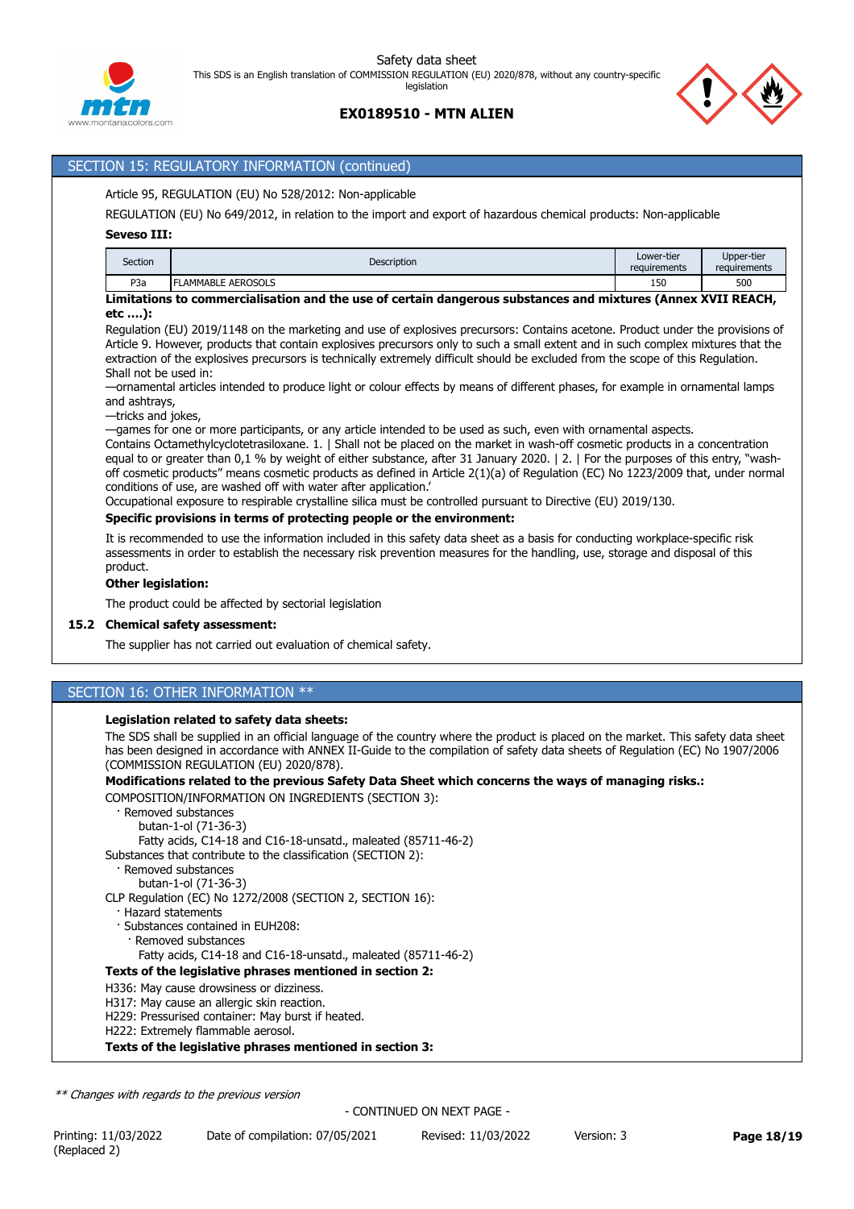



## SECTION 15: REGULATORY INFORMATION (continued)

## Article 95, REGULATION (EU) No 528/2012: Non-applicable

REGULATION (EU) No 649/2012, in relation to the import and export of hazardous chemical products: Non-applicable

## **Seveso III:**

| Section          | Description       | Lower-tier<br>requirements | Upper-tier<br>requirements |
|------------------|-------------------|----------------------------|----------------------------|
| P <sub>3</sub> a | LAMMABLE AEROSOLS | 150                        | 500                        |
|                  |                   |                            |                            |

#### **Limitations to commercialisation and the use of certain dangerous substances and mixtures (Annex XVII REACH, etc ….):**

Regulation (EU) 2019/1148 on the marketing and use of explosives precursors: Contains acetone. Product under the provisions of Article 9. However, products that contain explosives precursors only to such a small extent and in such complex mixtures that the extraction of the explosives precursors is technically extremely difficult should be excluded from the scope of this Regulation. Shall not be used in:

—ornamental articles intended to produce light or colour effects by means of different phases, for example in ornamental lamps and ashtrays,

—tricks and jokes,

—games for one or more participants, or any article intended to be used as such, even with ornamental aspects.

Contains Octamethylcyclotetrasiloxane. 1. | Shall not be placed on the market in wash-off cosmetic products in a concentration equal to or greater than 0,1 % by weight of either substance, after 31 January 2020. | 2. | For the purposes of this entry, "washoff cosmetic products" means cosmetic products as defined in Article 2(1)(a) of Regulation (EC) No 1223/2009 that, under normal conditions of use, are washed off with water after application.'

Occupational exposure to respirable crystalline silica must be controlled pursuant to Directive (EU) 2019/130.

### **Specific provisions in terms of protecting people or the environment:**

It is recommended to use the information included in this safety data sheet as a basis for conducting workplace-specific risk assessments in order to establish the necessary risk prevention measures for the handling, use, storage and disposal of this product.

#### **Other legislation:**

The product could be affected by sectorial legislation

## **15.2 Chemical safety assessment:**

The supplier has not carried out evaluation of chemical safety.

## SECTION 16: OTHER INFORMATION \*\*

## **Legislation related to safety data sheets:**

The SDS shall be supplied in an official language of the country where the product is placed on the market. This safety data sheet has been designed in accordance with ANNEX II-Guide to the compilation of safety data sheets of Regulation (EC) No 1907/2006 (COMMISSION REGULATION (EU) 2020/878).

## **Modifications related to the previous Safety Data Sheet which concerns the ways of managing risks.:**

COMPOSITION/INFORMATION ON INGREDIENTS (SECTION 3):

· Removed substances

butan-1-ol (71-36-3)

Fatty acids, C14-18 and C16-18-unsatd., maleated (85711-46-2)

Substances that contribute to the classification (SECTION 2):

- · Removed substances
	- butan-1-ol (71-36-3)

CLP Regulation (EC) No 1272/2008 (SECTION 2, SECTION 16):

- · Hazard statements
- · Substances contained in EUH208:
- · Removed substances
- Fatty acids, C14-18 and C16-18-unsatd., maleated (85711-46-2)

## **Texts of the legislative phrases mentioned in section 2:**

- H336: May cause drowsiness or dizziness.
- H317: May cause an allergic skin reaction.
- H229: Pressurised container: May burst if heated.
- H222: Extremely flammable aerosol.

**Texts of the legislative phrases mentioned in section 3:**

*\*\* Changes with regards to the previous version*